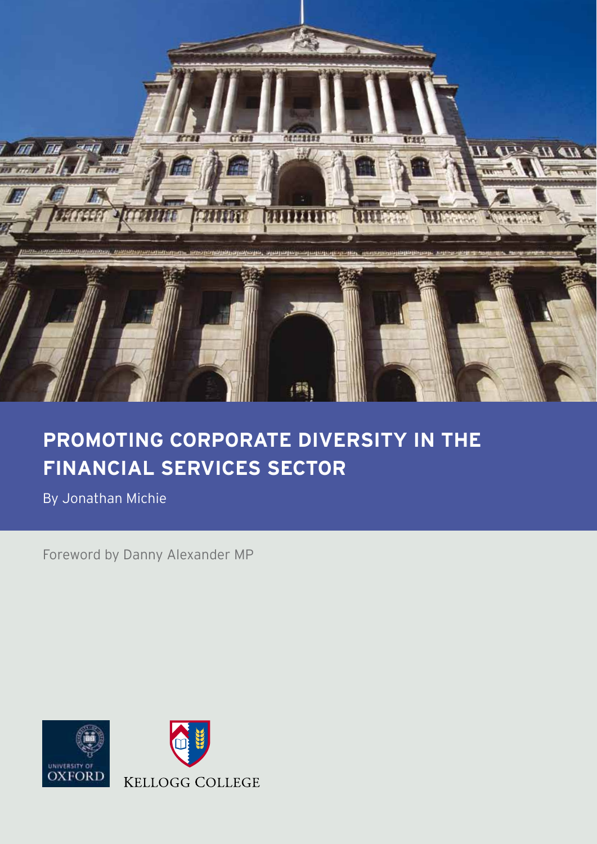

# **Promoting corporate diversity in the financial services sector**

By Jonathan Michie

Foreword by Danny Alexander MP



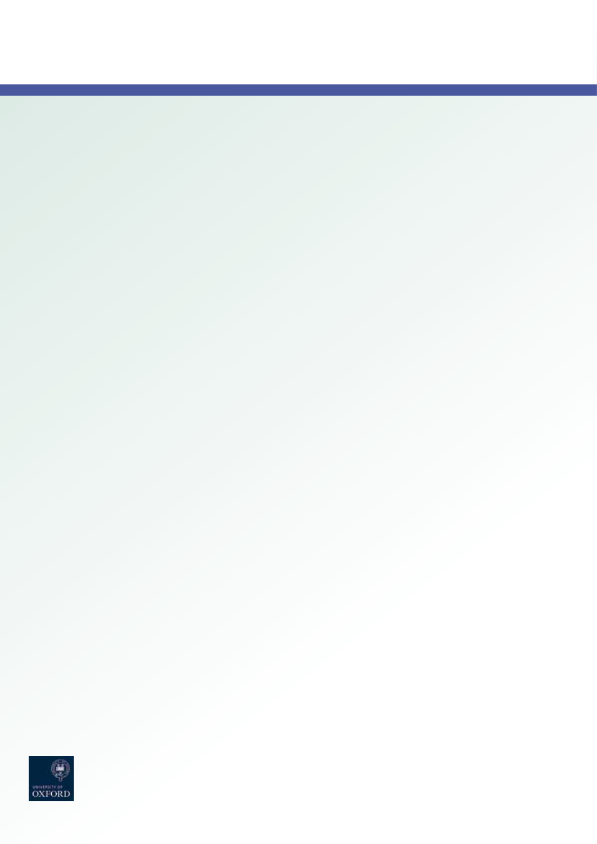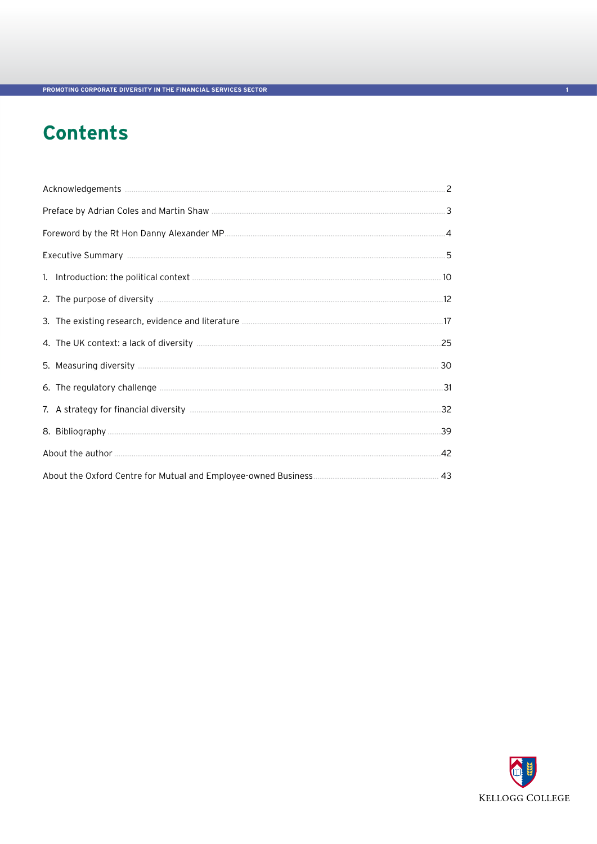# **Contents**

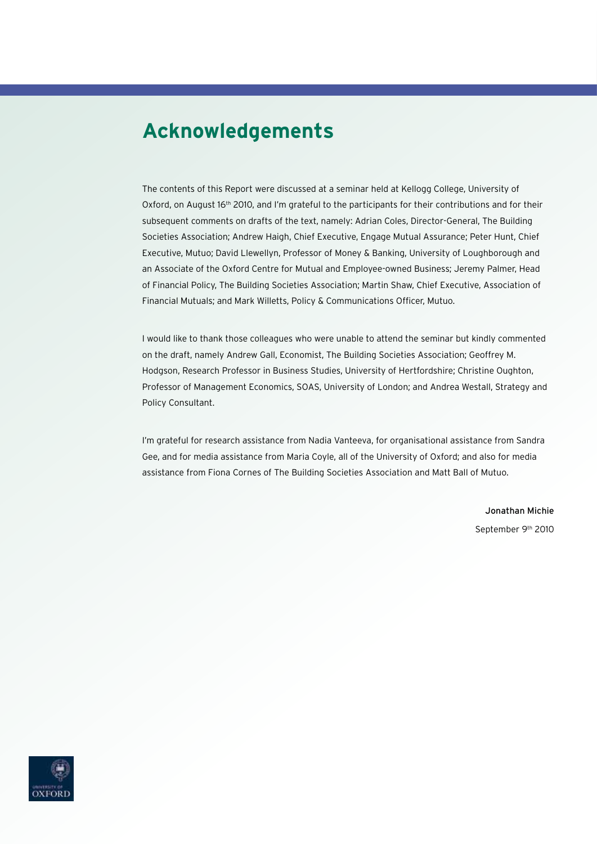# **Acknowledgements**

The contents of this Report were discussed at a seminar held at Kellogg College, University of Oxford, on August 16th 2010, and I'm grateful to the participants for their contributions and for their subsequent comments on drafts of the text, namely: Adrian Coles, Director-General, The Building Societies Association; Andrew Haigh, Chief Executive, Engage Mutual Assurance; Peter Hunt, Chief Executive, Mutuo; David Llewellyn, Professor of Money & Banking, University of Loughborough and an Associate of the Oxford Centre for Mutual and Employee-owned Business; Jeremy Palmer, Head of Financial Policy, The Building Societies Association; Martin Shaw, Chief Executive, Association of Financial Mutuals; and Mark Willetts, Policy & Communications Officer, Mutuo.

I would like to thank those colleagues who were unable to attend the seminar but kindly commented on the draft, namely Andrew Gall, Economist, The Building Societies Association; Geoffrey M. Hodgson, Research Professor in Business Studies, University of Hertfordshire; Christine Oughton, Professor of Management Economics, SOAS, University of London; and Andrea Westall, Strategy and Policy Consultant.

I'm grateful for research assistance from Nadia Vanteeva, for organisational assistance from Sandra Gee, and for media assistance from Maria Coyle, all of the University of Oxford; and also for media assistance from Fiona Cornes of The Building Societies Association and Matt Ball of Mutuo.

> Jonathan Michie September 9th 2010

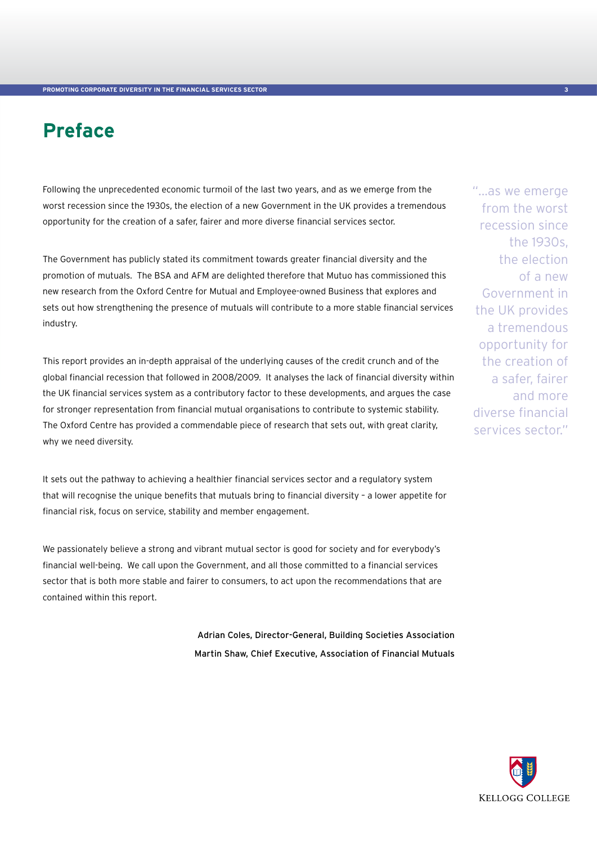## **Preface**

Following the unprecedented economic turmoil of the last two years, and as we emerge from the worst recession since the 1930s, the election of a new Government in the UK provides a tremendous opportunity for the creation of a safer, fairer and more diverse financial services sector.

The Government has publicly stated its commitment towards greater financial diversity and the promotion of mutuals. The BSA and AFM are delighted therefore that Mutuo has commissioned this new research from the Oxford Centre for Mutual and Employee-owned Business that explores and sets out how strengthening the presence of mutuals will contribute to a more stable financial services industry.

This report provides an in-depth appraisal of the underlying causes of the credit crunch and of the global financial recession that followed in 2008/2009. It analyses the lack of financial diversity within the UK financial services system as a contributory factor to these developments, and argues the case for stronger representation from financial mutual organisations to contribute to systemic stability. The Oxford Centre has provided a commendable piece of research that sets out, with great clarity, why we need diversity.

It sets out the pathway to achieving a healthier financial services sector and a regulatory system that will recognise the unique benefits that mutuals bring to financial diversity – a lower appetite for financial risk, focus on service, stability and member engagement.

We passionately believe a strong and vibrant mutual sector is good for society and for everybody's financial well-being. We call upon the Government, and all those committed to a financial services sector that is both more stable and fairer to consumers, to act upon the recommendations that are contained within this report.

> Adrian Coles, Director-General, Building Societies Association Martin Shaw, Chief Executive, Association of Financial Mutuals

"...as we emerge from the worst recession since the 1930s, the election of a new Government in the UK provides a tremendous opportunity for the creation of a safer, fairer and more diverse financial services sector."

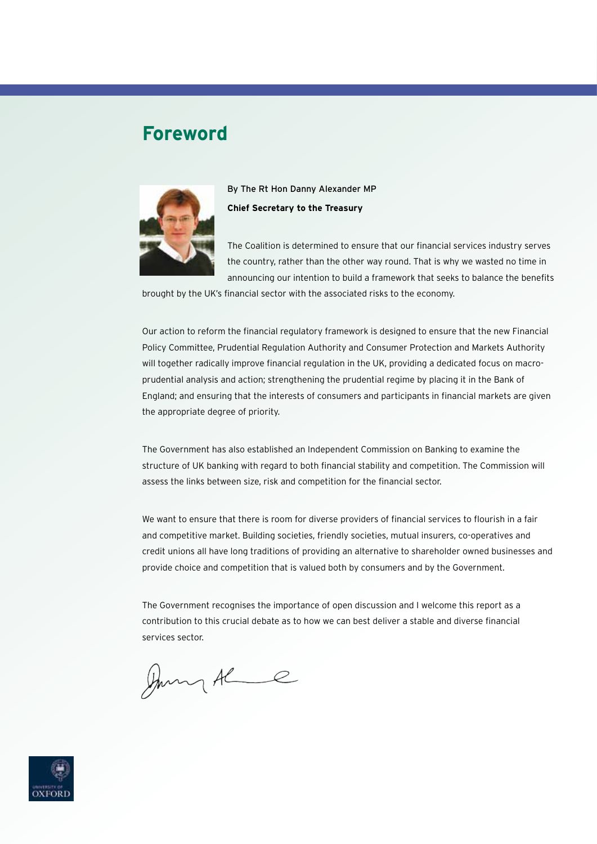## **Foreword**



By The Rt Hon Danny Alexander MP **Chief Secretary to the Treasury**

The Coalition is determined to ensure that our financial services industry serves the country, rather than the other way round. That is why we wasted no time in announcing our intention to build a framework that seeks to balance the benefits

brought by the UK's financial sector with the associated risks to the economy.

Our action to reform the financial regulatory framework is designed to ensure that the new Financial Policy Committee, Prudential Regulation Authority and Consumer Protection and Markets Authority will together radically improve financial regulation in the UK, providing a dedicated focus on macroprudential analysis and action; strengthening the prudential regime by placing it in the Bank of England; and ensuring that the interests of consumers and participants in financial markets are given the appropriate degree of priority.

The Government has also established an Independent Commission on Banking to examine the structure of UK banking with regard to both financial stability and competition. The Commission will assess the links between size, risk and competition for the financial sector.

We want to ensure that there is room for diverse providers of financial services to flourish in a fair and competitive market. Building societies, friendly societies, mutual insurers, co-operatives and credit unions all have long traditions of providing an alternative to shareholder owned businesses and provide choice and competition that is valued both by consumers and by the Government.

The Government recognises the importance of open discussion and I welcome this report as a contribution to this crucial debate as to how we can best deliver a stable and diverse financial services sector.

Shim Ale

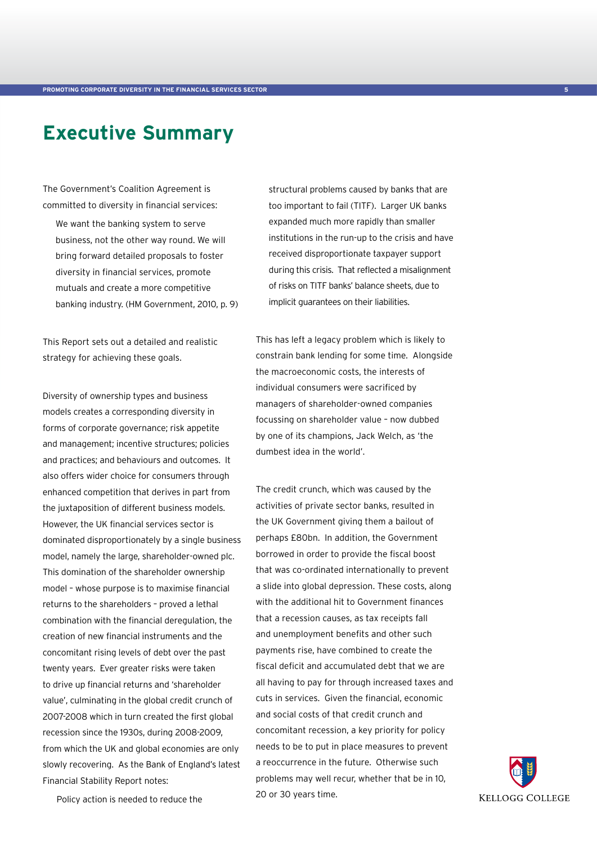## **Executive Summary**

The Government's Coalition Agreement is committed to diversity in financial services:

We want the banking system to serve business, not the other way round. We will bring forward detailed proposals to foster diversity in financial services, promote mutuals and create a more competitive banking industry. (HM Government, 2010, p. 9)

This Report sets out a detailed and realistic strategy for achieving these goals.

Diversity of ownership types and business models creates a corresponding diversity in forms of corporate governance; risk appetite and management; incentive structures; policies and practices; and behaviours and outcomes. It also offers wider choice for consumers through enhanced competition that derives in part from the juxtaposition of different business models. However, the UK financial services sector is dominated disproportionately by a single business model, namely the large, shareholder-owned plc. This domination of the shareholder ownership model – whose purpose is to maximise financial returns to the shareholders – proved a lethal combination with the financial deregulation, the creation of new financial instruments and the concomitant rising levels of debt over the past twenty years. Ever greater risks were taken to drive up financial returns and 'shareholder value', culminating in the global credit crunch of 2007-2008 which in turn created the first global recession since the 1930s, during 2008-2009, from which the UK and global economies are only slowly recovering. As the Bank of England's latest Financial Stability Report notes:

structural problems caused by banks that are too important to fail (TITF). Larger UK banks expanded much more rapidly than smaller institutions in the run-up to the crisis and have received disproportionate taxpayer support during this crisis. That reflected a misalignment of risks on TITF banks' balance sheets, due to implicit guarantees on their liabilities.

This has left a legacy problem which is likely to constrain bank lending for some time. Alongside the macroeconomic costs, the interests of individual consumers were sacrificed by managers of shareholder-owned companies focussing on shareholder value – now dubbed by one of its champions, Jack Welch, as 'the dumbest idea in the world'.

The credit crunch, which was caused by the activities of private sector banks, resulted in the UK Government giving them a bailout of perhaps £80bn. In addition, the Government borrowed in order to provide the fiscal boost that was co-ordinated internationally to prevent a slide into global depression. These costs, along with the additional hit to Government finances that a recession causes, as tax receipts fall and unemployment benefits and other such payments rise, have combined to create the fiscal deficit and accumulated debt that we are all having to pay for through increased taxes and cuts in services. Given the financial, economic and social costs of that credit crunch and concomitant recession, a key priority for policy needs to be to put in place measures to prevent a reoccurrence in the future. Otherwise such problems may well recur, whether that be in 10, 20 or 30 years time.



Policy action is needed to reduce the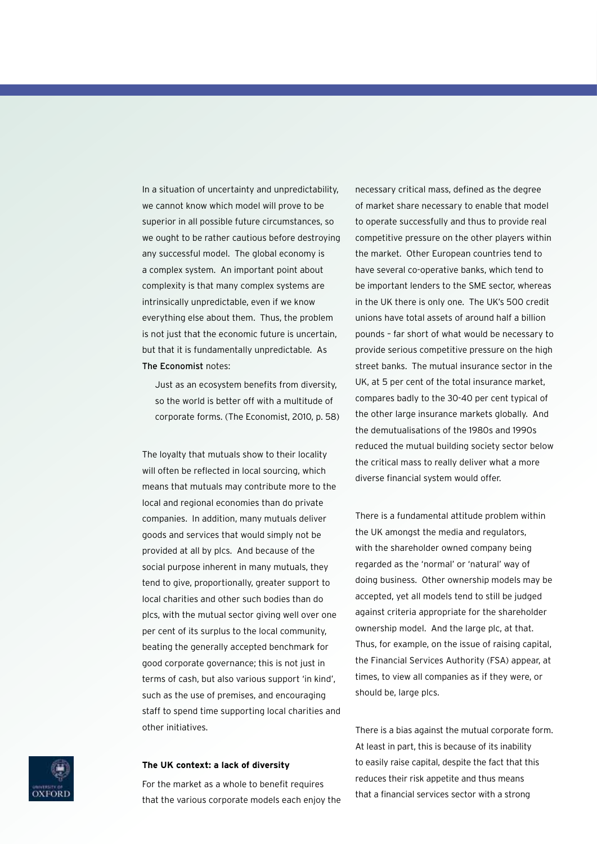In a situation of uncertainty and unpredictability, we cannot know which model will prove to be superior in all possible future circumstances, so we ought to be rather cautious before destroying any successful model. The global economy is a complex system. An important point about complexity is that many complex systems are intrinsically unpredictable, even if we know everything else about them. Thus, the problem is not just that the economic future is uncertain, but that it is fundamentally unpredictable. As The Economist notes:

Just as an ecosystem benefits from diversity, so the world is better off with a multitude of corporate forms. (The Economist, 2010, p. 58)

The loyalty that mutuals show to their locality will often be reflected in local sourcing, which means that mutuals may contribute more to the local and regional economies than do private companies. In addition, many mutuals deliver goods and services that would simply not be provided at all by plcs. And because of the social purpose inherent in many mutuals, they tend to give, proportionally, greater support to local charities and other such bodies than do plcs, with the mutual sector giving well over one per cent of its surplus to the local community, beating the generally accepted benchmark for good corporate governance; this is not just in terms of cash, but also various support 'in kind', such as the use of premises, and encouraging staff to spend time supporting local charities and other initiatives.

#### **The UK context: a lack of diversity**

For the market as a whole to benefit requires that the various corporate models each enjoy the necessary critical mass, defined as the degree of market share necessary to enable that model to operate successfully and thus to provide real competitive pressure on the other players within the market. Other European countries tend to have several co-operative banks, which tend to be important lenders to the SME sector, whereas in the UK there is only one. The UK's 500 credit unions have total assets of around half a billion pounds – far short of what would be necessary to provide serious competitive pressure on the high street banks. The mutual insurance sector in the UK, at 5 per cent of the total insurance market, compares badly to the 30-40 per cent typical of the other large insurance markets globally. And the demutualisations of the 1980s and 1990s reduced the mutual building society sector below the critical mass to really deliver what a more diverse financial system would offer.

There is a fundamental attitude problem within the UK amongst the media and regulators, with the shareholder owned company being regarded as the 'normal' or 'natural' way of doing business. Other ownership models may be accepted, yet all models tend to still be judged against criteria appropriate for the shareholder ownership model. And the large plc, at that. Thus, for example, on the issue of raising capital, the Financial Services Authority (FSA) appear, at times, to view all companies as if they were, or should be, large plcs.

There is a bias against the mutual corporate form. At least in part, this is because of its inability to easily raise capital, despite the fact that this reduces their risk appetite and thus means that a financial services sector with a strong

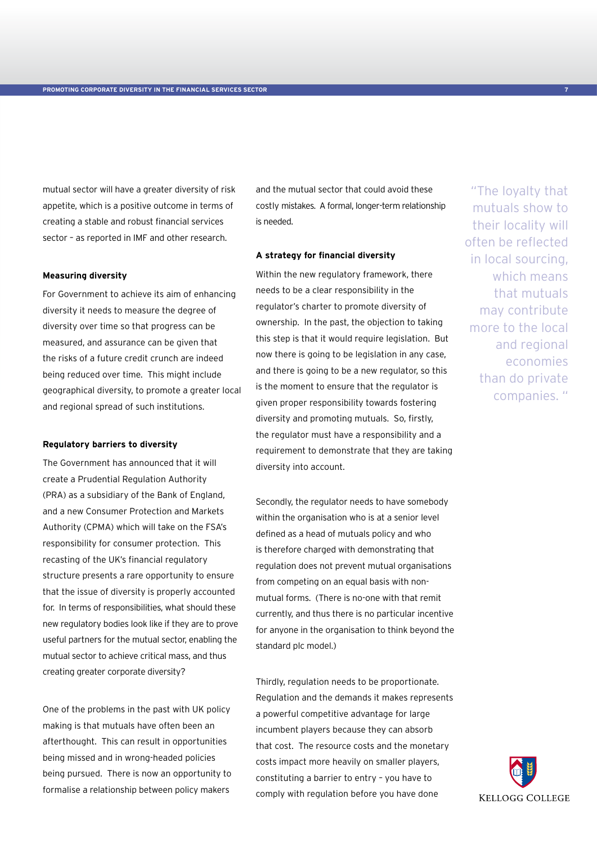mutual sector will have a greater diversity of risk appetite, which is a positive outcome in terms of creating a stable and robust financial services sector – as reported in IMF and other research.

#### **Measuring diversity**

For Government to achieve its aim of enhancing diversity it needs to measure the degree of diversity over time so that progress can be measured, and assurance can be given that the risks of a future credit crunch are indeed being reduced over time. This might include geographical diversity, to promote a greater local and regional spread of such institutions.

#### **Regulatory barriers to diversity**

The Government has announced that it will create a Prudential Regulation Authority (PRA) as a subsidiary of the Bank of England, and a new Consumer Protection and Markets Authority (CPMA) which will take on the FSA's responsibility for consumer protection. This recasting of the UK's financial regulatory structure presents a rare opportunity to ensure that the issue of diversity is properly accounted for. In terms of responsibilities, what should these new regulatory bodies look like if they are to prove useful partners for the mutual sector, enabling the mutual sector to achieve critical mass, and thus creating greater corporate diversity?

One of the problems in the past with UK policy making is that mutuals have often been an afterthought. This can result in opportunities being missed and in wrong-headed policies being pursued. There is now an opportunity to formalise a relationship between policy makers

and the mutual sector that could avoid these costly mistakes. A formal, longer-term relationship is needed.

#### **A strategy for financial diversity**

Within the new regulatory framework, there needs to be a clear responsibility in the regulator's charter to promote diversity of ownership. In the past, the objection to taking this step is that it would require legislation. But now there is going to be legislation in any case, and there is going to be a new regulator, so this is the moment to ensure that the regulator is given proper responsibility towards fostering diversity and promoting mutuals. So, firstly, the regulator must have a responsibility and a requirement to demonstrate that they are taking diversity into account.

Secondly, the regulator needs to have somebody within the organisation who is at a senior level defined as a head of mutuals policy and who is therefore charged with demonstrating that regulation does not prevent mutual organisations from competing on an equal basis with nonmutual forms. (There is no-one with that remit currently, and thus there is no particular incentive for anyone in the organisation to think beyond the standard plc model.)

Thirdly, regulation needs to be proportionate. Regulation and the demands it makes represents a powerful competitive advantage for large incumbent players because they can absorb that cost. The resource costs and the monetary costs impact more heavily on smaller players, constituting a barrier to entry – you have to comply with regulation before you have done

"The loyalty that mutuals show to their locality will often be reflected in local sourcing, which means that mutuals may contribute more to the local and regional economies than do private companies. "

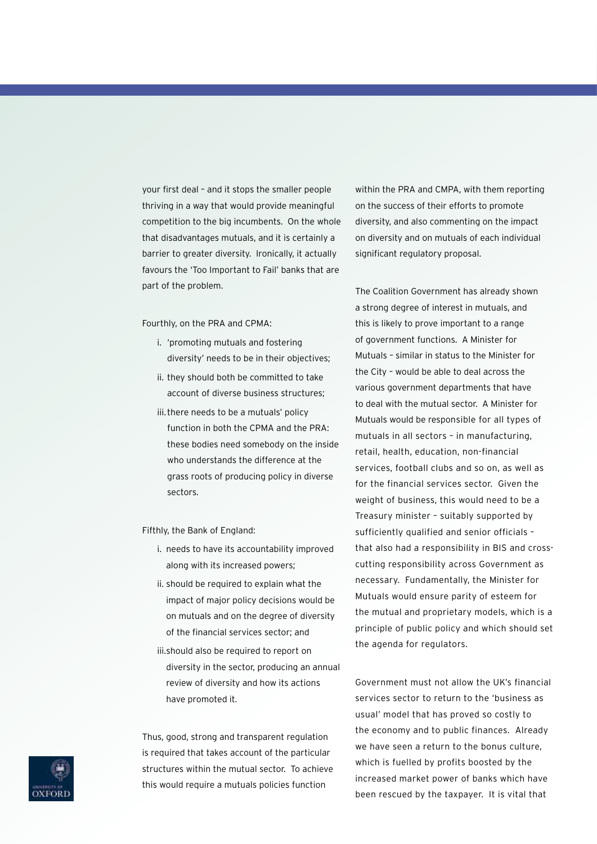your first deal – and it stops the smaller people thriving in a way that would provide meaningful competition to the big incumbents. On the whole that disadvantages mutuals, and it is certainly a barrier to greater diversity. Ironically, it actually favours the 'Too Important to Fail' banks that are part of the problem.

Fourthly, on the PRA and CPMA:

- i. 'promoting mutuals and fostering diversity' needs to be in their objectives;
- ii. they should both be committed to take account of diverse business structures;
- iii.there needs to be a mutuals' policy function in both the CPMA and the PRA: these bodies need somebody on the inside who understands the difference at the grass roots of producing policy in diverse sectors.

Fifthly, the Bank of England:

- i. needs to have its accountability improved along with its increased powers;
- ii. should be required to explain what the impact of major policy decisions would be on mutuals and on the degree of diversity of the financial services sector; and
- iii.should also be required to report on diversity in the sector, producing an annual review of diversity and how its actions have promoted it.

Thus, good, strong and transparent regulation is required that takes account of the particular structures within the mutual sector. To achieve this would require a mutuals policies function

within the PRA and CMPA, with them reporting on the success of their efforts to promote diversity, and also commenting on the impact on diversity and on mutuals of each individual significant regulatory proposal.

The Coalition Government has already shown a strong degree of interest in mutuals, and this is likely to prove important to a range of government functions. A Minister for Mutuals – similar in status to the Minister for the City – would be able to deal across the various government departments that have to deal with the mutual sector. A Minister for Mutuals would be responsible for all types of mutuals in all sectors – in manufacturing, retail, health, education, non-financial services, football clubs and so on, as well as for the financial services sector. Given the weight of business, this would need to be a Treasury minister – suitably supported by sufficiently qualified and senior officials – that also had a responsibility in BIS and crosscutting responsibility across Government as necessary. Fundamentally, the Minister for Mutuals would ensure parity of esteem for the mutual and proprietary models, which is a principle of public policy and which should set the agenda for regulators.

Government must not allow the UK's financial services sector to return to the 'business as usual' model that has proved so costly to the economy and to public finances. Already we have seen a return to the bonus culture, which is fuelled by profits boosted by the increased market power of banks which have been rescued by the taxpayer. It is vital that

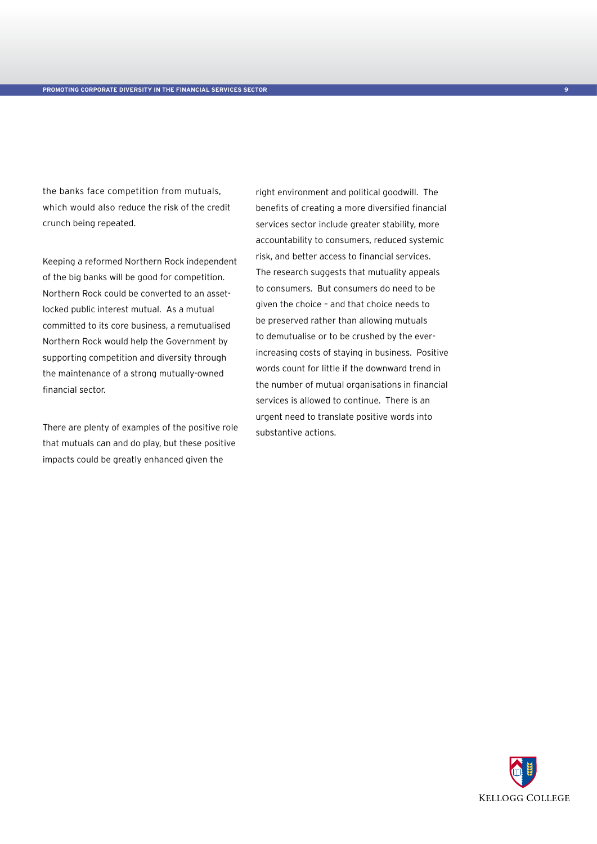the banks face competition from mutuals, which would also reduce the risk of the credit crunch being repeated.

Keeping a reformed Northern Rock independent of the big banks will be good for competition. Northern Rock could be converted to an assetlocked public interest mutual. As a mutual committed to its core business, a remutualised Northern Rock would help the Government by supporting competition and diversity through the maintenance of a strong mutually-owned financial sector.

There are plenty of examples of the positive role that mutuals can and do play, but these positive impacts could be greatly enhanced given the

right environment and political goodwill. The benefits of creating a more diversified financial services sector include greater stability, more accountability to consumers, reduced systemic risk, and better access to financial services. The research suggests that mutuality appeals to consumers. But consumers do need to be given the choice – and that choice needs to be preserved rather than allowing mutuals to demutualise or to be crushed by the everincreasing costs of staying in business. Positive words count for little if the downward trend in the number of mutual organisations in financial services is allowed to continue. There is an urgent need to translate positive words into substantive actions.

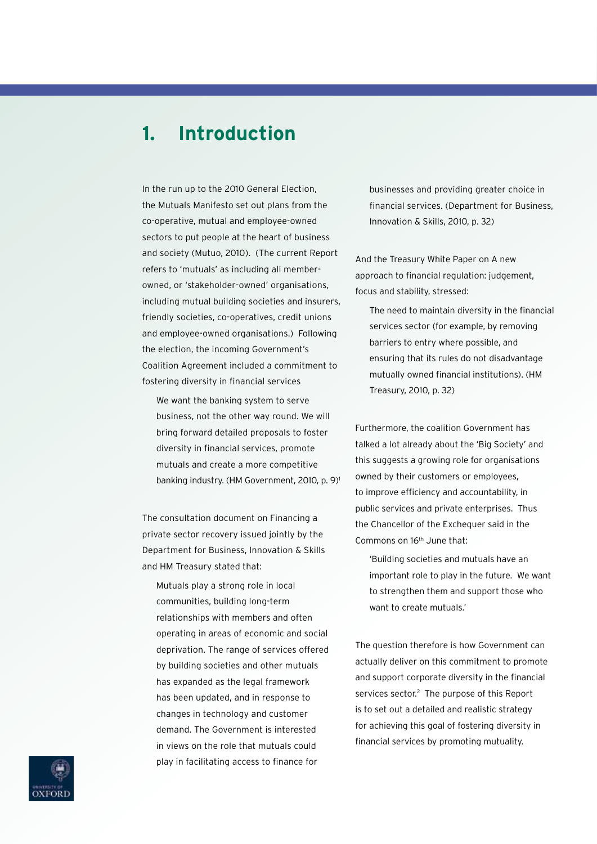## **1. Introduction**

In the run up to the 2010 General Election, the Mutuals Manifesto set out plans from the co-operative, mutual and employee-owned sectors to put people at the heart of business and society (Mutuo, 2010). (The current Report refers to 'mutuals' as including all memberowned, or 'stakeholder-owned' organisations, including mutual building societies and insurers, friendly societies, co-operatives, credit unions and employee-owned organisations.) Following the election, the incoming Government's Coalition Agreement included a commitment to fostering diversity in financial services

We want the banking system to serve business, not the other way round. We will bring forward detailed proposals to foster diversity in financial services, promote mutuals and create a more competitive banking industry. (HM Government, 2010, p. 9)<sup>1</sup>

The consultation document on Financing a private sector recovery issued jointly by the Department for Business, Innovation & Skills and HM Treasury stated that:

Mutuals play a strong role in local communities, building long-term relationships with members and often operating in areas of economic and social deprivation. The range of services offered by building societies and other mutuals has expanded as the legal framework has been updated, and in response to changes in technology and customer demand. The Government is interested in views on the role that mutuals could play in facilitating access to finance for

businesses and providing greater choice in financial services. (Department for Business, Innovation & Skills, 2010, p. 32)

And the Treasury White Paper on A new approach to financial regulation: judgement, focus and stability, stressed:

The need to maintain diversity in the financial services sector (for example, by removing barriers to entry where possible, and ensuring that its rules do not disadvantage mutually owned financial institutions). (HM Treasury, 2010, p. 32)

Furthermore, the coalition Government has talked a lot already about the 'Big Society' and this suggests a growing role for organisations owned by their customers or employees, to improve efficiency and accountability, in public services and private enterprises. Thus the Chancellor of the Exchequer said in the Commons on 16th June that:

'Building societies and mutuals have an important role to play in the future. We want to strengthen them and support those who want to create mutuals.'

The question therefore is how Government can actually deliver on this commitment to promote and support corporate diversity in the financial services sector.<sup>2</sup> The purpose of this Report is to set out a detailed and realistic strategy for achieving this goal of fostering diversity in financial services by promoting mutuality.

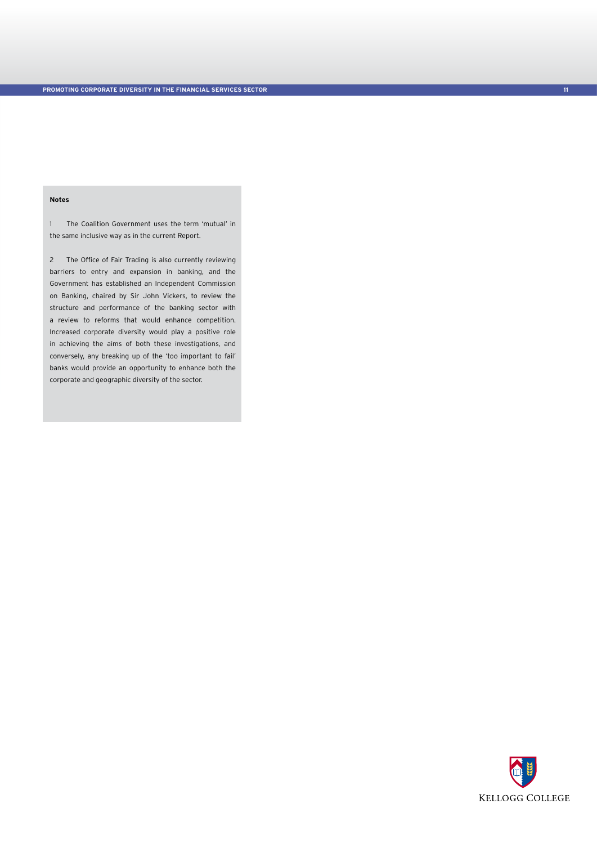#### **Notes**

1 The Coalition Government uses the term 'mutual' in the same inclusive way as in the current Report.

2 The Office of Fair Trading is also currently reviewing barriers to entry and expansion in banking, and the Government has established an Independent Commission on Banking, chaired by Sir John Vickers, to review the structure and performance of the banking sector with a review to reforms that would enhance competition. Increased corporate diversity would play a positive role in achieving the aims of both these investigations, and conversely, any breaking up of the 'too important to fail' banks would provide an opportunity to enhance both the corporate and geographic diversity of the sector.

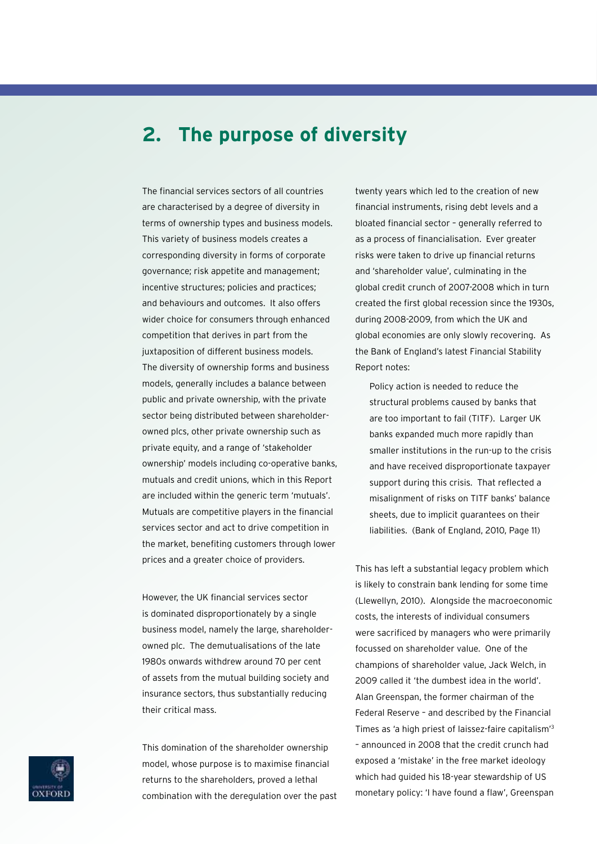## **2. The purpose of diversity**

The financial services sectors of all countries are characterised by a degree of diversity in terms of ownership types and business models. This variety of business models creates a corresponding diversity in forms of corporate governance; risk appetite and management; incentive structures; policies and practices; and behaviours and outcomes. It also offers wider choice for consumers through enhanced competition that derives in part from the juxtaposition of different business models. The diversity of ownership forms and business models, generally includes a balance between public and private ownership, with the private sector being distributed between shareholderowned plcs, other private ownership such as private equity, and a range of 'stakeholder ownership' models including co-operative banks, mutuals and credit unions, which in this Report are included within the generic term 'mutuals'. Mutuals are competitive players in the financial services sector and act to drive competition in the market, benefiting customers through lower prices and a greater choice of providers.

However, the UK financial services sector is dominated disproportionately by a single business model, namely the large, shareholderowned plc. The demutualisations of the late 1980s onwards withdrew around 70 per cent of assets from the mutual building society and insurance sectors, thus substantially reducing their critical mass.

This domination of the shareholder ownership model, whose purpose is to maximise financial returns to the shareholders, proved a lethal combination with the deregulation over the past

twenty years which led to the creation of new financial instruments, rising debt levels and a bloated financial sector – generally referred to as a process of financialisation. Ever greater risks were taken to drive up financial returns and 'shareholder value', culminating in the global credit crunch of 2007-2008 which in turn created the first global recession since the 1930s, during 2008-2009, from which the UK and global economies are only slowly recovering. As the Bank of England's latest Financial Stability Report notes:

Policy action is needed to reduce the structural problems caused by banks that are too important to fail (TITF). Larger UK banks expanded much more rapidly than smaller institutions in the run-up to the crisis and have received disproportionate taxpayer support during this crisis. That reflected a misalignment of risks on TITF banks' balance sheets, due to implicit guarantees on their liabilities. (Bank of England, 2010, Page 11)

This has left a substantial legacy problem which is likely to constrain bank lending for some time (Llewellyn, 2010). Alongside the macroeconomic costs, the interests of individual consumers were sacrificed by managers who were primarily focussed on shareholder value. One of the champions of shareholder value, Jack Welch, in 2009 called it 'the dumbest idea in the world'. Alan Greenspan, the former chairman of the Federal Reserve – and described by the Financial Times as 'a high priest of laissez-faire capitalism'3 – announced in 2008 that the credit crunch had exposed a 'mistake' in the free market ideology which had guided his 18-year stewardship of US monetary policy: 'I have found a flaw', Greenspan

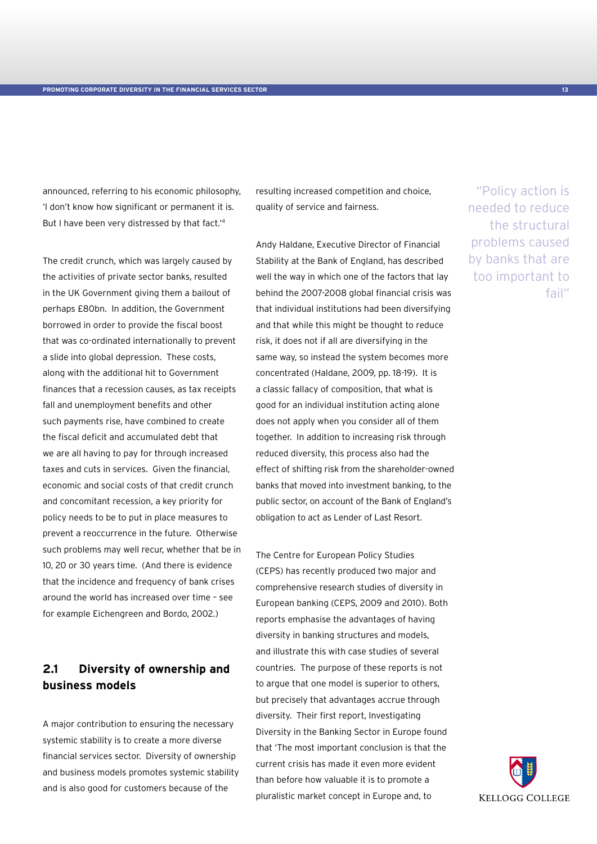announced, referring to his economic philosophy, 'I don't know how significant or permanent it is. But I have been very distressed by that fact.'4

The credit crunch, which was largely caused by the activities of private sector banks, resulted in the UK Government giving them a bailout of perhaps £80bn. In addition, the Government borrowed in order to provide the fiscal boost that was co-ordinated internationally to prevent a slide into global depression. These costs, along with the additional hit to Government finances that a recession causes, as tax receipts fall and unemployment benefits and other such payments rise, have combined to create the fiscal deficit and accumulated debt that we are all having to pay for through increased taxes and cuts in services. Given the financial, economic and social costs of that credit crunch and concomitant recession, a key priority for policy needs to be to put in place measures to prevent a reoccurrence in the future. Otherwise such problems may well recur, whether that be in 10, 20 or 30 years time. (And there is evidence that the incidence and frequency of bank crises around the world has increased over time – see for example Eichengreen and Bordo, 2002.)

### **2.1 Diversity of ownership and business models**

A major contribution to ensuring the necessary systemic stability is to create a more diverse financial services sector. Diversity of ownership and business models promotes systemic stability and is also good for customers because of the

resulting increased competition and choice, quality of service and fairness.

Andy Haldane, Executive Director of Financial Stability at the Bank of England, has described well the way in which one of the factors that lay behind the 2007-2008 global financial crisis was that individual institutions had been diversifying and that while this might be thought to reduce risk, it does not if all are diversifying in the same way, so instead the system becomes more concentrated (Haldane, 2009, pp. 18-19). It is a classic fallacy of composition, that what is good for an individual institution acting alone does not apply when you consider all of them together. In addition to increasing risk through reduced diversity, this process also had the effect of shifting risk from the shareholder-owned banks that moved into investment banking, to the public sector, on account of the Bank of England's obligation to act as Lender of Last Resort.

The Centre for European Policy Studies (CEPS) has recently produced two major and comprehensive research studies of diversity in European banking (CEPS, 2009 and 2010). Both reports emphasise the advantages of having diversity in banking structures and models, and illustrate this with case studies of several countries. The purpose of these reports is not to argue that one model is superior to others, but precisely that advantages accrue through diversity. Their first report, Investigating Diversity in the Banking Sector in Europe found that 'The most important conclusion is that the current crisis has made it even more evident than before how valuable it is to promote a pluralistic market concept in Europe and, to

"Policy action is needed to reduce the structural problems caused by banks that are too important to fail"

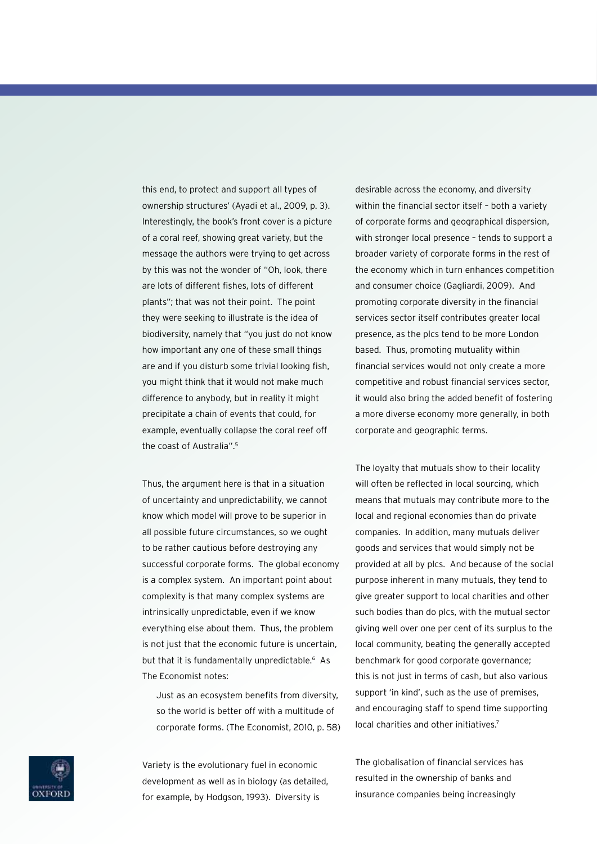this end, to protect and support all types of ownership structures' (Ayadi et al., 2009, p. 3). Interestingly, the book's front cover is a picture of a coral reef, showing great variety, but the message the authors were trying to get across by this was not the wonder of "Oh, look, there are lots of different fishes, lots of different plants"; that was not their point. The point they were seeking to illustrate is the idea of biodiversity, namely that "you just do not know how important any one of these small things are and if you disturb some trivial looking fish, you might think that it would not make much difference to anybody, but in reality it might precipitate a chain of events that could, for example, eventually collapse the coral reef off the coast of Australia".5

Thus, the argument here is that in a situation of uncertainty and unpredictability, we cannot know which model will prove to be superior in all possible future circumstances, so we ought to be rather cautious before destroying any successful corporate forms. The global economy is a complex system. An important point about complexity is that many complex systems are intrinsically unpredictable, even if we know everything else about them. Thus, the problem is not just that the economic future is uncertain, but that it is fundamentally unpredictable.<sup>6</sup> As The Economist notes:

Just as an ecosystem benefits from diversity, so the world is better off with a multitude of corporate forms. (The Economist, 2010, p. 58)

Variety is the evolutionary fuel in economic development as well as in biology (as detailed, for example, by Hodgson, 1993). Diversity is

desirable across the economy, and diversity within the financial sector itself – both a variety of corporate forms and geographical dispersion, with stronger local presence – tends to support a broader variety of corporate forms in the rest of the economy which in turn enhances competition and consumer choice (Gagliardi, 2009). And promoting corporate diversity in the financial services sector itself contributes greater local presence, as the plcs tend to be more London based. Thus, promoting mutuality within financial services would not only create a more competitive and robust financial services sector, it would also bring the added benefit of fostering a more diverse economy more generally, in both corporate and geographic terms.

The loyalty that mutuals show to their locality will often be reflected in local sourcing, which means that mutuals may contribute more to the local and regional economies than do private companies. In addition, many mutuals deliver goods and services that would simply not be provided at all by plcs. And because of the social purpose inherent in many mutuals, they tend to give greater support to local charities and other such bodies than do plcs, with the mutual sector giving well over one per cent of its surplus to the local community, beating the generally accepted benchmark for good corporate governance; this is not just in terms of cash, but also various support 'in kind', such as the use of premises, and encouraging staff to spend time supporting local charities and other initiatives.7

The globalisation of financial services has resulted in the ownership of banks and insurance companies being increasingly

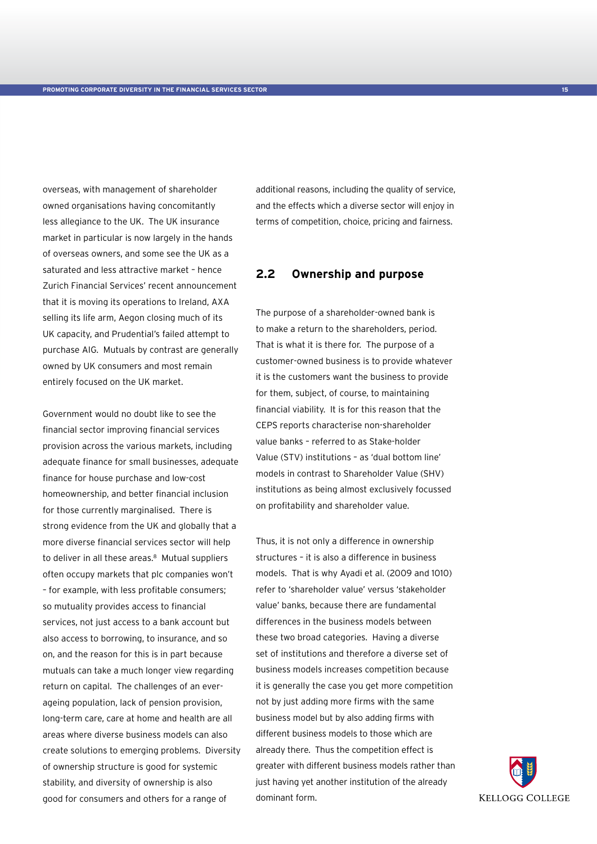overseas, with management of shareholder owned organisations having concomitantly less allegiance to the UK. The UK insurance market in particular is now largely in the hands of overseas owners, and some see the UK as a saturated and less attractive market – hence Zurich Financial Services' recent announcement that it is moving its operations to Ireland, AXA selling its life arm, Aegon closing much of its UK capacity, and Prudential's failed attempt to purchase AIG. Mutuals by contrast are generally owned by UK consumers and most remain entirely focused on the UK market.

Government would no doubt like to see the financial sector improving financial services provision across the various markets, including adequate finance for small businesses, adequate finance for house purchase and low-cost homeownership, and better financial inclusion for those currently marginalised. There is strong evidence from the UK and globally that a more diverse financial services sector will help to deliver in all these areas.<sup>8</sup> Mutual suppliers often occupy markets that plc companies won't – for example, with less profitable consumers; so mutuality provides access to financial services, not just access to a bank account but also access to borrowing, to insurance, and so on, and the reason for this is in part because mutuals can take a much longer view regarding return on capital. The challenges of an everageing population, lack of pension provision, long-term care, care at home and health are all areas where diverse business models can also create solutions to emerging problems. Diversity of ownership structure is good for systemic stability, and diversity of ownership is also good for consumers and others for a range of

additional reasons, including the quality of service, and the effects which a diverse sector will enjoy in terms of competition, choice, pricing and fairness.

#### **2.2 Ownership and purpose**

The purpose of a shareholder-owned bank is to make a return to the shareholders, period. That is what it is there for. The purpose of a customer-owned business is to provide whatever it is the customers want the business to provide for them, subject, of course, to maintaining financial viability. It is for this reason that the CEPS reports characterise non-shareholder value banks – referred to as Stake-holder Value (STV) institutions – as 'dual bottom line' models in contrast to Shareholder Value (SHV) institutions as being almost exclusively focussed on profitability and shareholder value.

Thus, it is not only a difference in ownership structures – it is also a difference in business models. That is why Ayadi et al. (2009 and 1010) refer to 'shareholder value' versus 'stakeholder value' banks, because there are fundamental differences in the business models between these two broad categories. Having a diverse set of institutions and therefore a diverse set of business models increases competition because it is generally the case you get more competition not by just adding more firms with the same business model but by also adding firms with different business models to those which are already there. Thus the competition effect is greater with different business models rather than just having yet another institution of the already dominant form.

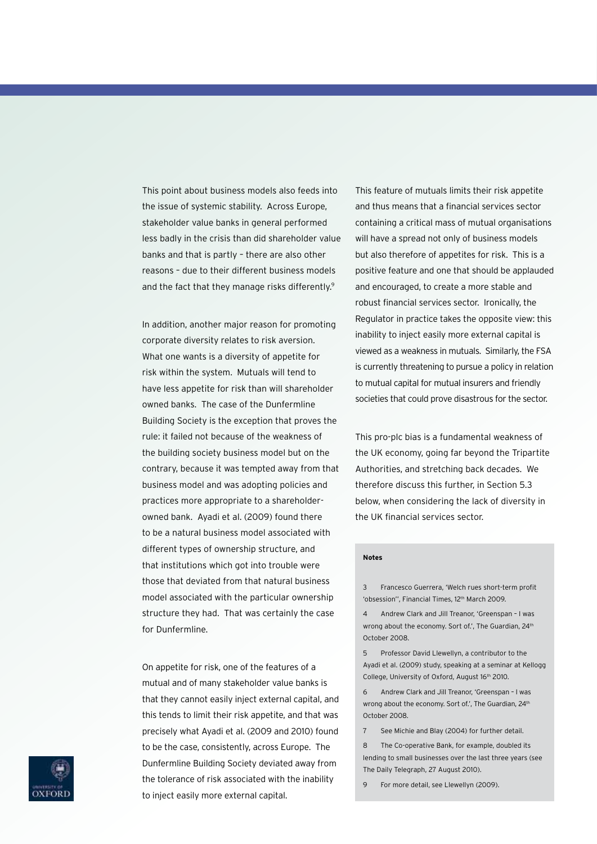This point about business models also feeds into the issue of systemic stability. Across Europe, stakeholder value banks in general performed less badly in the crisis than did shareholder value banks and that is partly – there are also other reasons – due to their different business models and the fact that they manage risks differently.<sup>9</sup>

In addition, another major reason for promoting corporate diversity relates to risk aversion. What one wants is a diversity of appetite for risk within the system. Mutuals will tend to have less appetite for risk than will shareholder owned banks. The case of the Dunfermline Building Society is the exception that proves the rule: it failed not because of the weakness of the building society business model but on the contrary, because it was tempted away from that business model and was adopting policies and practices more appropriate to a shareholderowned bank. Ayadi et al. (2009) found there to be a natural business model associated with different types of ownership structure, and that institutions which got into trouble were those that deviated from that natural business model associated with the particular ownership structure they had. That was certainly the case for Dunfermline.

On appetite for risk, one of the features of a mutual and of many stakeholder value banks is that they cannot easily inject external capital, and this tends to limit their risk appetite, and that was precisely what Ayadi et al. (2009 and 2010) found to be the case, consistently, across Europe. The Dunfermline Building Society deviated away from the tolerance of risk associated with the inability to inject easily more external capital.

This feature of mutuals limits their risk appetite and thus means that a financial services sector containing a critical mass of mutual organisations will have a spread not only of business models but also therefore of appetites for risk. This is a positive feature and one that should be applauded and encouraged, to create a more stable and robust financial services sector. Ironically, the Regulator in practice takes the opposite view: this inability to inject easily more external capital is viewed as a weakness in mutuals. Similarly, the FSA is currently threatening to pursue a policy in relation to mutual capital for mutual insurers and friendly societies that could prove disastrous for the sector.

This pro-plc bias is a fundamental weakness of the UK economy, going far beyond the Tripartite Authorities, and stretching back decades. We therefore discuss this further, in Section 5.3 below, when considering the lack of diversity in the UK financial services sector.

#### **Notes**

3 Francesco Guerrera, 'Welch rues short-term profit 'obsession'', Financial Times, 12th March 2009.

4 Andrew Clark and Jill Treanor, 'Greenspan – I was wrong about the economy. Sort of.', The Guardian, 24th October 2008.

5 Professor David Llewellyn, a contributor to the Ayadi et al. (2009) study, speaking at a seminar at Kellogg College, University of Oxford, August 16th 2010.

6 Andrew Clark and Jill Treanor, 'Greenspan – I was wrong about the economy. Sort of.', The Guardian, 24<sup>th</sup> October 2008.

7 See Michie and Blay (2004) for further detail.

8 The Co-operative Bank, for example, doubled its lending to small businesses over the last three years (see The Daily Telegraph, 27 August 2010).

9 For more detail, see Llewellyn (2009).

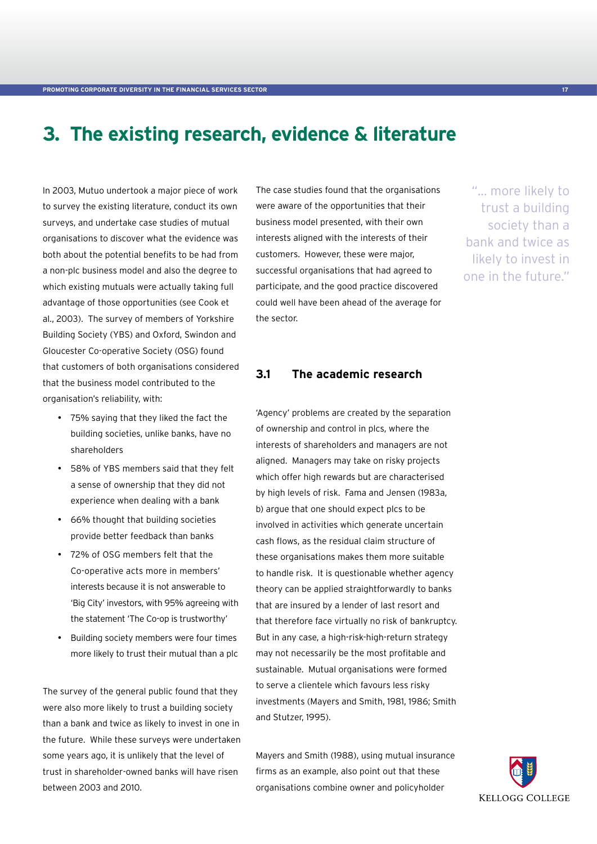## **3. The existing research, evidence & literature**

In 2003, Mutuo undertook a major piece of work to survey the existing literature, conduct its own surveys, and undertake case studies of mutual organisations to discover what the evidence was both about the potential benefits to be had from a non-plc business model and also the degree to which existing mutuals were actually taking full advantage of those opportunities (see Cook et al., 2003). The survey of members of Yorkshire Building Society (YBS) and Oxford, Swindon and Gloucester Co-operative Society (OSG) found that customers of both organisations considered that the business model contributed to the organisation's reliability, with:

- • 75% saying that they liked the fact the building societies, unlike banks, have no shareholders
- • 58% of YBS members said that they felt a sense of ownership that they did not experience when dealing with a bank
- • 66% thought that building societies provide better feedback than banks
- • 72% of OSG members felt that the Co-operative acts more in members' interests because it is not answerable to 'Big City' investors, with 95% agreeing with the statement 'The Co-op is trustworthy'
- • Building society members were four times more likely to trust their mutual than a plc

The survey of the general public found that they were also more likely to trust a building society than a bank and twice as likely to invest in one in the future. While these surveys were undertaken some years ago, it is unlikely that the level of trust in shareholder-owned banks will have risen between 2003 and 2010.

The case studies found that the organisations were aware of the opportunities that their business model presented, with their own interests aligned with the interests of their customers. However, these were major, successful organisations that had agreed to participate, and the good practice discovered could well have been ahead of the average for the sector.

"... more likely to trust a building society than a bank and twice as likely to invest in one in the future."

#### **3.1 The academic research**

'Agency' problems are created by the separation of ownership and control in plcs, where the interests of shareholders and managers are not aligned. Managers may take on risky projects which offer high rewards but are characterised by high levels of risk. Fama and Jensen (1983a, b) argue that one should expect plcs to be involved in activities which generate uncertain cash flows, as the residual claim structure of these organisations makes them more suitable to handle risk. It is questionable whether agency theory can be applied straightforwardly to banks that are insured by a lender of last resort and that therefore face virtually no risk of bankruptcy. But in any case, a high-risk-high-return strategy may not necessarily be the most profitable and sustainable. Mutual organisations were formed to serve a clientele which favours less risky investments (Mayers and Smith, 1981, 1986; Smith and Stutzer, 1995).

Mayers and Smith (1988), using mutual insurance firms as an example, also point out that these organisations combine owner and policyholder

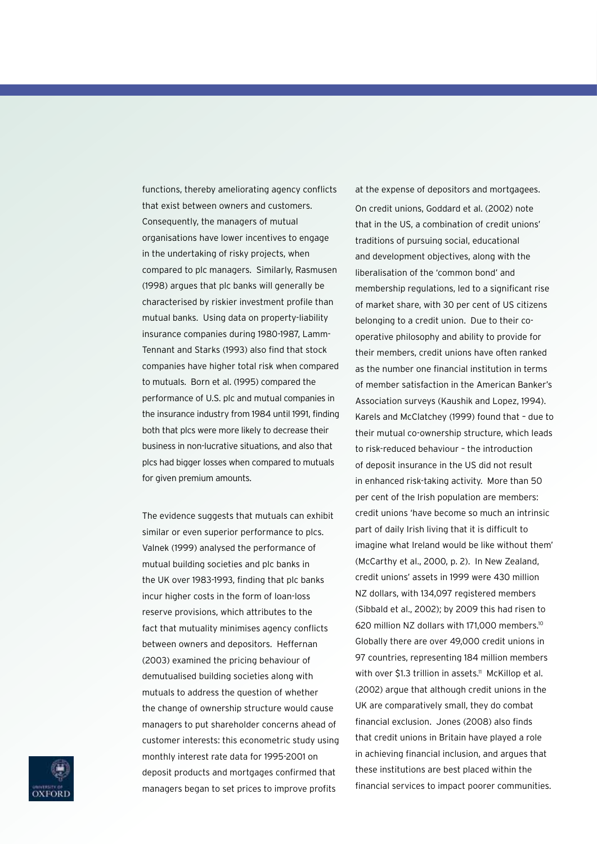functions, thereby ameliorating agency conflicts that exist between owners and customers. Consequently, the managers of mutual organisations have lower incentives to engage in the undertaking of risky projects, when compared to plc managers. Similarly, Rasmusen (1998) argues that plc banks will generally be characterised by riskier investment profile than mutual banks. Using data on property-liability insurance companies during 1980-1987, Lamm-Tennant and Starks (1993) also find that stock companies have higher total risk when compared to mutuals. Born et al. (1995) compared the performance of U.S. plc and mutual companies in the insurance industry from 1984 until 1991, finding both that plcs were more likely to decrease their business in non-lucrative situations, and also that plcs had bigger losses when compared to mutuals for given premium amounts.

The evidence suggests that mutuals can exhibit similar or even superior performance to plcs. Valnek (1999) analysed the performance of mutual building societies and plc banks in the UK over 1983-1993, finding that plc banks incur higher costs in the form of loan-loss reserve provisions, which attributes to the fact that mutuality minimises agency conflicts between owners and depositors. Heffernan (2003) examined the pricing behaviour of demutualised building societies along with mutuals to address the question of whether the change of ownership structure would cause managers to put shareholder concerns ahead of customer interests: this econometric study using monthly interest rate data for 1995-2001 on deposit products and mortgages confirmed that managers began to set prices to improve profits

at the expense of depositors and mortgagees. On credit unions, Goddard et al. (2002) note that in the US, a combination of credit unions' traditions of pursuing social, educational and development objectives, along with the liberalisation of the 'common bond' and membership regulations, led to a significant rise of market share, with 30 per cent of US citizens belonging to a credit union. Due to their cooperative philosophy and ability to provide for their members, credit unions have often ranked as the number one financial institution in terms of member satisfaction in the American Banker's Association surveys (Kaushik and Lopez, 1994). Karels and McClatchey (1999) found that – due to their mutual co-ownership structure, which leads to risk-reduced behaviour – the introduction of deposit insurance in the US did not result in enhanced risk-taking activity. More than 50 per cent of the Irish population are members: credit unions 'have become so much an intrinsic part of daily Irish living that it is difficult to imagine what Ireland would be like without them' (McCarthy et al., 2000, p. 2). In New Zealand, credit unions' assets in 1999 were 430 million NZ dollars, with 134,097 registered members (Sibbald et al., 2002); by 2009 this had risen to 620 million NZ dollars with 171,000 members.10 Globally there are over 49,000 credit unions in 97 countries, representing 184 million members with over \$1.3 trillion in assets.<sup>11</sup> McKillop et al. (2002) argue that although credit unions in the UK are comparatively small, they do combat financial exclusion. Jones (2008) also finds that credit unions in Britain have played a role in achieving financial inclusion, and argues that these institutions are best placed within the financial services to impact poorer communities.

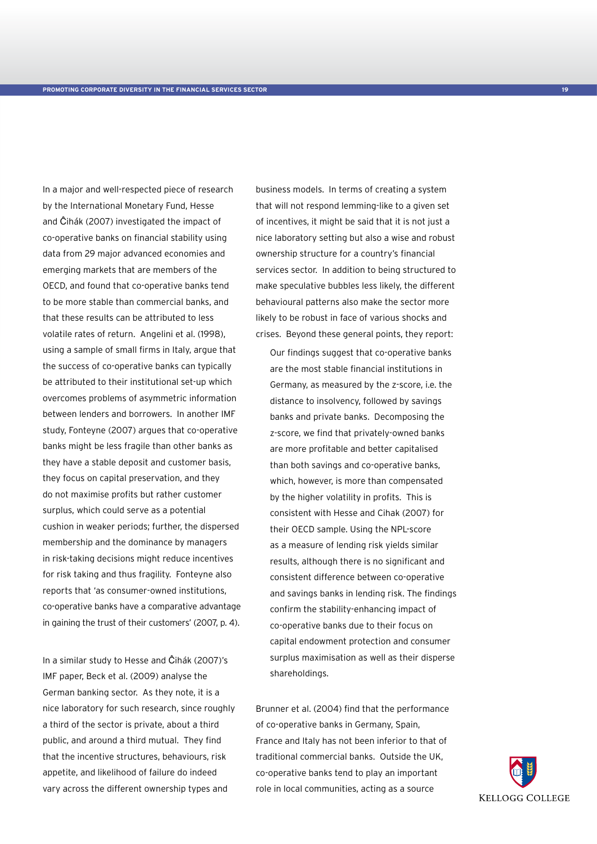In a major and well-respected piece of research by the International Monetary Fund, Hesse and Ĉihák (2007) investigated the impact of co-operative banks on financial stability using data from 29 major advanced economies and emerging markets that are members of the OECD, and found that co-operative banks tend to be more stable than commercial banks, and that these results can be attributed to less volatile rates of return. Angelini et al. (1998), using a sample of small firms in Italy, argue that the success of co-operative banks can typically be attributed to their institutional set-up which overcomes problems of asymmetric information between lenders and borrowers. In another IMF study, Fonteyne (2007) argues that co-operative banks might be less fragile than other banks as they have a stable deposit and customer basis, they focus on capital preservation, and they do not maximise profits but rather customer surplus, which could serve as a potential cushion in weaker periods; further, the dispersed membership and the dominance by managers in risk-taking decisions might reduce incentives for risk taking and thus fragility. Fonteyne also reports that 'as consumer-owned institutions, co-operative banks have a comparative advantage in gaining the trust of their customers' (2007, p. 4).

In a similar study to Hesse and Ĉihák (2007)'s IMF paper, Beck et al. (2009) analyse the German banking sector. As they note, it is a nice laboratory for such research, since roughly a third of the sector is private, about a third public, and around a third mutual. They find that the incentive structures, behaviours, risk appetite, and likelihood of failure do indeed vary across the different ownership types and

business models. In terms of creating a system that will not respond lemming-like to a given set of incentives, it might be said that it is not just a nice laboratory setting but also a wise and robust ownership structure for a country's financial services sector. In addition to being structured to make speculative bubbles less likely, the different behavioural patterns also make the sector more likely to be robust in face of various shocks and crises. Beyond these general points, they report:

Our findings suggest that co-operative banks are the most stable financial institutions in Germany, as measured by the z-score, i.e. the distance to insolvency, followed by savings banks and private banks. Decomposing the z-score, we find that privately-owned banks are more profitable and better capitalised than both savings and co-operative banks, which, however, is more than compensated by the higher volatility in profits. This is consistent with Hesse and Cihak (2007) for their OECD sample. Using the NPL-score as a measure of lending risk yields similar results, although there is no significant and consistent difference between co-operative and savings banks in lending risk. The findings confirm the stability-enhancing impact of co-operative banks due to their focus on capital endowment protection and consumer surplus maximisation as well as their disperse shareholdings.

Brunner et al. (2004) find that the performance of co-operative banks in Germany, Spain, France and Italy has not been inferior to that of traditional commercial banks. Outside the UK, co-operative banks tend to play an important role in local communities, acting as a source

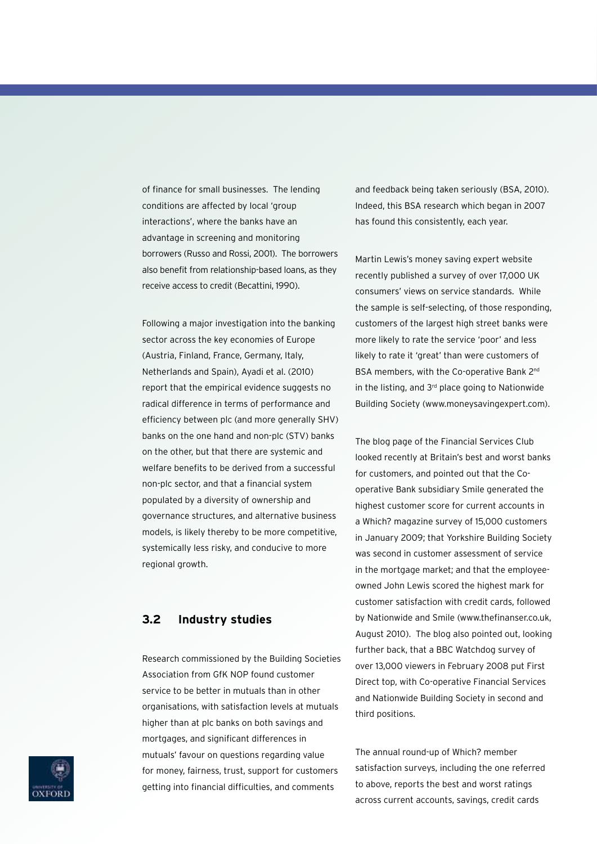of finance for small businesses. The lending conditions are affected by local 'group interactions', where the banks have an advantage in screening and monitoring borrowers (Russo and Rossi, 2001). The borrowers also benefit from relationship-based loans, as they receive access to credit (Becattini, 1990).

Following a major investigation into the banking sector across the key economies of Europe (Austria, Finland, France, Germany, Italy, Netherlands and Spain), Ayadi et al. (2010) report that the empirical evidence suggests no radical difference in terms of performance and efficiency between plc (and more generally SHV) banks on the one hand and non-plc (STV) banks on the other, but that there are systemic and welfare benefits to be derived from a successful non-plc sector, and that a financial system populated by a diversity of ownership and governance structures, and alternative business models, is likely thereby to be more competitive, systemically less risky, and conducive to more regional growth.

### **3.2 Industry studies**

Research commissioned by the Building Societies Association from GfK NOP found customer service to be better in mutuals than in other organisations, with satisfaction levels at mutuals higher than at plc banks on both savings and mortgages, and significant differences in mutuals' favour on questions regarding value for money, fairness, trust, support for customers getting into financial difficulties, and comments

and feedback being taken seriously (BSA, 2010). Indeed, this BSA research which began in 2007 has found this consistently, each year.

Martin Lewis's money saving expert website recently published a survey of over 17,000 UK consumers' views on service standards. While the sample is self-selecting, of those responding, customers of the largest high street banks were more likely to rate the service 'poor' and less likely to rate it 'great' than were customers of BSA members, with the Co-operative Bank 2<sup>nd</sup> in the listing, and 3rd place going to Nationwide Building Society (www.moneysavingexpert.com).

The blog page of the Financial Services Club looked recently at Britain's best and worst banks for customers, and pointed out that the Cooperative Bank subsidiary Smile generated the highest customer score for current accounts in a Which? magazine survey of 15,000 customers in January 2009; that Yorkshire Building Society was second in customer assessment of service in the mortgage market; and that the employeeowned John Lewis scored the highest mark for customer satisfaction with credit cards, followed by Nationwide and Smile (www.thefinanser.co.uk, August 2010). The blog also pointed out, looking further back, that a BBC Watchdog survey of over 13,000 viewers in February 2008 put First Direct top, with Co-operative Financial Services and Nationwide Building Society in second and third positions.

The annual round-up of Which? member satisfaction surveys, including the one referred to above, reports the best and worst ratings across current accounts, savings, credit cards

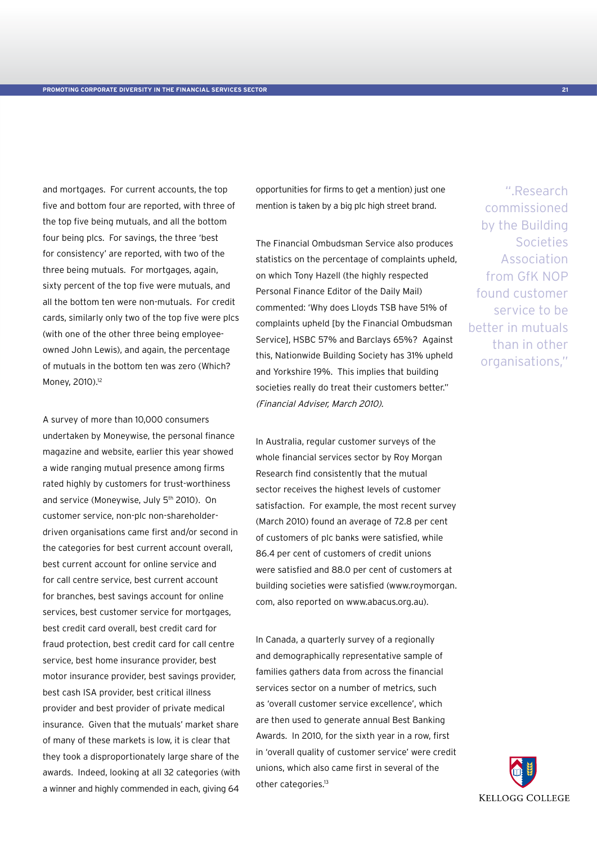and mortgages. For current accounts, the top five and bottom four are reported, with three of the top five being mutuals, and all the bottom four being plcs. For savings, the three 'best for consistency' are reported, with two of the three being mutuals. For mortgages, again, sixty percent of the top five were mutuals, and all the bottom ten were non-mutuals. For credit cards, similarly only two of the top five were plcs (with one of the other three being employeeowned John Lewis), and again, the percentage of mutuals in the bottom ten was zero (Which? Money, 2010).<sup>12</sup>

A survey of more than 10,000 consumers undertaken by Moneywise, the personal finance magazine and website, earlier this year showed a wide ranging mutual presence among firms rated highly by customers for trust-worthiness and service (Moneywise, July 5<sup>th</sup> 2010). On customer service, non-plc non-shareholderdriven organisations came first and/or second in the categories for best current account overall, best current account for online service and for call centre service, best current account for branches, best savings account for online services, best customer service for mortgages, best credit card overall, best credit card for fraud protection, best credit card for call centre service, best home insurance provider, best motor insurance provider, best savings provider, best cash ISA provider, best critical illness provider and best provider of private medical insurance. Given that the mutuals' market share of many of these markets is low, it is clear that they took a disproportionately large share of the awards. Indeed, looking at all 32 categories (with a winner and highly commended in each, giving 64

opportunities for firms to get a mention) just one mention is taken by a big plc high street brand.

The Financial Ombudsman Service also produces statistics on the percentage of complaints upheld, on which Tony Hazell (the highly respected Personal Finance Editor of the Daily Mail) commented: 'Why does Lloyds TSB have 51% of complaints upheld [by the Financial Ombudsman Service], HSBC 57% and Barclays 65%? Against this, Nationwide Building Society has 31% upheld and Yorkshire 19%. This implies that building societies really do treat their customers better." (Financial Adviser, March 2010).

In Australia, regular customer surveys of the whole financial services sector by Roy Morgan Research find consistently that the mutual sector receives the highest levels of customer satisfaction. For example, the most recent survey (March 2010) found an average of 72.8 per cent of customers of plc banks were satisfied, while 86.4 per cent of customers of credit unions were satisfied and 88.0 per cent of customers at building societies were satisfied (www.roymorgan. com, also reported on www.abacus.org.au).

In Canada, a quarterly survey of a regionally and demographically representative sample of families gathers data from across the financial services sector on a number of metrics, such as 'overall customer service excellence', which are then used to generate annual Best Banking Awards. In 2010, for the sixth year in a row, first in 'overall quality of customer service' were credit unions, which also came first in several of the other categories.<sup>13</sup>

".Research commissioned by the Building Societies Association from GfK NOP found customer service to be better in mutuals than in other organisations,"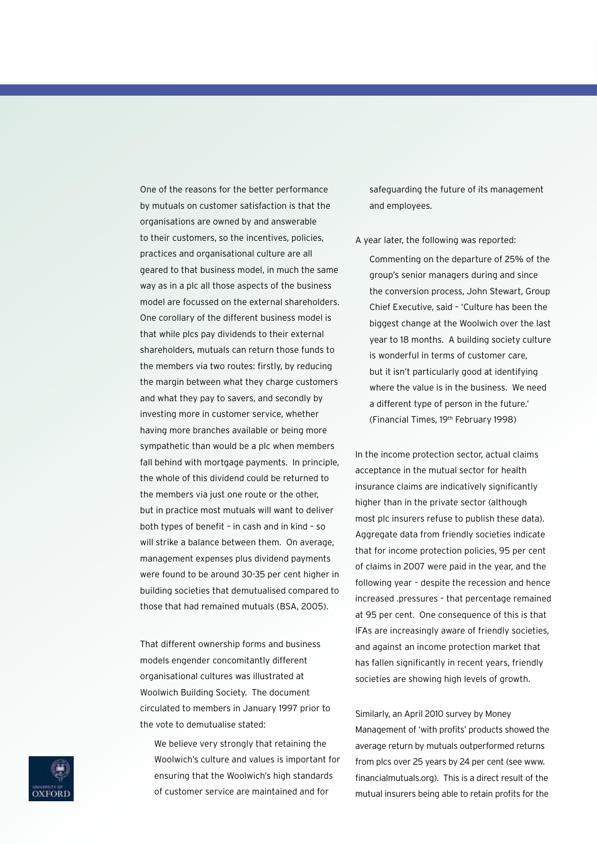One of the reasons for the better performance by mutuals on customer satisfaction is that the organisations are owned by and answerable to their customers, so the incentives, policies, practices and organisational culture are all geared to that business model, in much the same way as in a plc all those aspects of the business model are focussed on the external shareholders. One corollary of the different business model is that while plcs pay dividends to their external shareholders, mutuals can return those funds to the members via two routes: firstly, by reducing the margin between what they charge customers and what they pay to savers, and secondly by investing more in customer service, whether having more branches available or being more sympathetic than would be a plc when members fall behind with mortgage payments. In principle, the whole of this dividend could be returned to the members via just one route or the other, but in practice most mutuals will want to deliver both types of benefit – in cash and in kind – so will strike a balance between them. On average, management expenses plus dividend payments were found to be around 30-35 per cent higher in building societies that demutualised compared to those that had remained mutuals (BSA, 2005).

That different ownership forms and business models engender concomitantly different organisational cultures was illustrated at Woolwich Building Society. The document circulated to members in January 1997 prior to the vote to demutualise stated:

We believe very strongly that retaining the Woolwich's culture and values is important for ensuring that the Woolwich's high standards of customer service are maintained and for

safeguarding the future of its management and employees.

A year later, the following was reported:

Commenting on the departure of 25% of the group's senior managers during and since the conversion process, John Stewart, Group Chief Executive, said – 'Culture has been the biggest change at the Woolwich over the last year to 18 months. A building society culture is wonderful in terms of customer care, but it isn't particularly good at identifying where the value is in the business. We need a different type of person in the future.' (Financial Times, 19<sup>th</sup> February 1998)

In the income protection sector, actual claims acceptance in the mutual sector for health insurance claims are indicatively significantly higher than in the private sector (although most plc insurers refuse to publish these data). Aggregate data from friendly societies indicate that for income protection policies, 95 per cent of claims in 2007 were paid in the year, and the following year – despite the recession and hence increased .pressures – that percentage remained at 95 per cent. One consequence of this is that IFAs are increasingly aware of friendly societies, and against an income protection market that has fallen significantly in recent years, friendly societies are showing high levels of growth.

Similarly, an April 2010 survey by Money Management of 'with profits' products showed the average return by mutuals outperformed returns from plcs over 25 years by 24 per cent (see www. financialmutuals.org). This is a direct result of the mutual insurers being able to retain profits for the

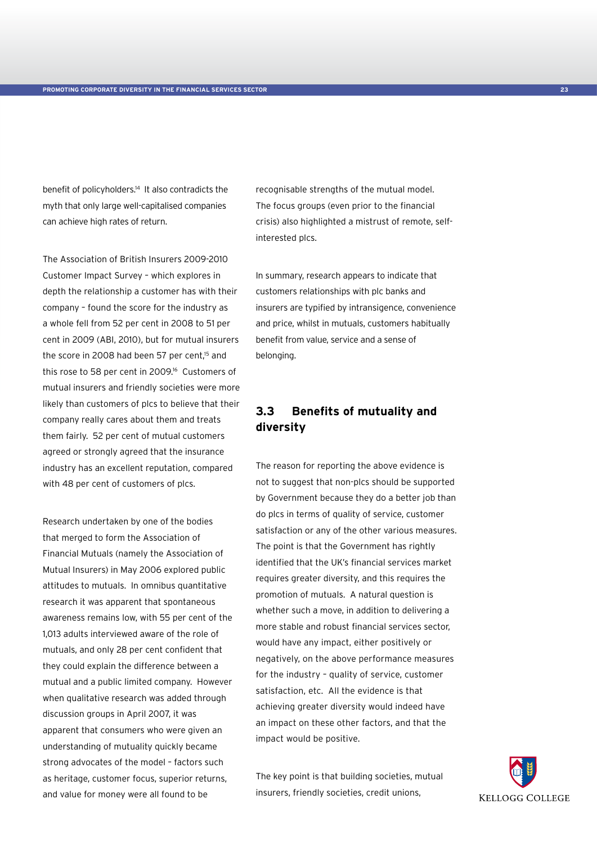benefit of policyholders.<sup>14</sup> It also contradicts the myth that only large well-capitalised companies can achieve high rates of return.

The Association of British Insurers 2009-2010 Customer Impact Survey – which explores in depth the relationship a customer has with their company – found the score for the industry as a whole fell from 52 per cent in 2008 to 51 per cent in 2009 (ABI, 2010), but for mutual insurers the score in 2008 had been 57 per cent,<sup>15</sup> and this rose to 58 per cent in 2009.16 Customers of mutual insurers and friendly societies were more likely than customers of plcs to believe that their company really cares about them and treats them fairly. 52 per cent of mutual customers agreed or strongly agreed that the insurance industry has an excellent reputation, compared with 48 per cent of customers of plcs.

Research undertaken by one of the bodies that merged to form the Association of Financial Mutuals (namely the Association of Mutual Insurers) in May 2006 explored public attitudes to mutuals. In omnibus quantitative research it was apparent that spontaneous awareness remains low, with 55 per cent of the 1,013 adults interviewed aware of the role of mutuals, and only 28 per cent confident that they could explain the difference between a mutual and a public limited company. However when qualitative research was added through discussion groups in April 2007, it was apparent that consumers who were given an understanding of mutuality quickly became strong advocates of the model – factors such as heritage, customer focus, superior returns, and value for money were all found to be

recognisable strengths of the mutual model. The focus groups (even prior to the financial crisis) also highlighted a mistrust of remote, selfinterested plcs.

In summary, research appears to indicate that customers relationships with plc banks and insurers are typified by intransigence, convenience and price, whilst in mutuals, customers habitually benefit from value, service and a sense of belonging.

### **3.3 Benefits of mutuality and diversity**

The reason for reporting the above evidence is not to suggest that non-plcs should be supported by Government because they do a better job than do plcs in terms of quality of service, customer satisfaction or any of the other various measures. The point is that the Government has rightly identified that the UK's financial services market requires greater diversity, and this requires the promotion of mutuals. A natural question is whether such a move, in addition to delivering a more stable and robust financial services sector, would have any impact, either positively or negatively, on the above performance measures for the industry – quality of service, customer satisfaction, etc. All the evidence is that achieving greater diversity would indeed have an impact on these other factors, and that the impact would be positive.

The key point is that building societies, mutual insurers, friendly societies, credit unions,

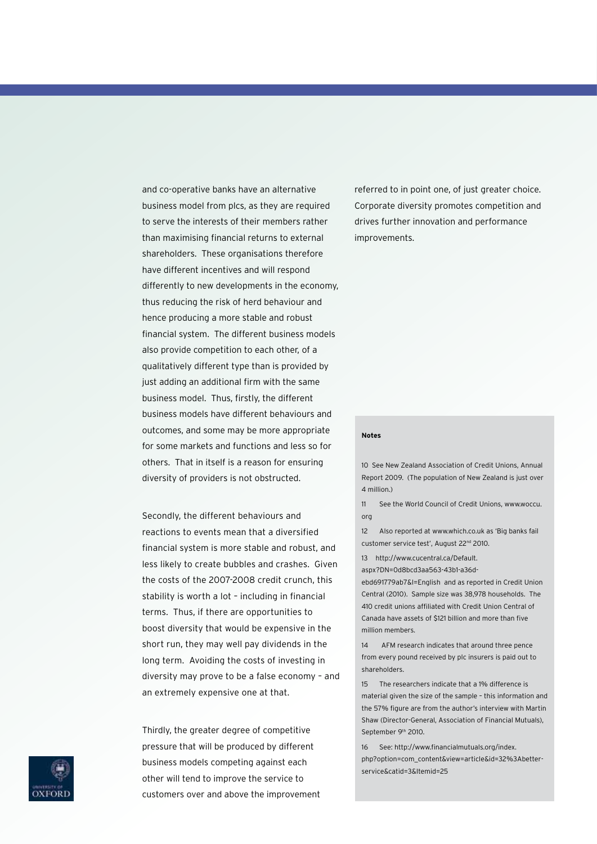and co-operative banks have an alternative business model from plcs, as they are required to serve the interests of their members rather than maximising financial returns to external shareholders. These organisations therefore have different incentives and will respond differently to new developments in the economy, thus reducing the risk of herd behaviour and hence producing a more stable and robust financial system. The different business models also provide competition to each other, of a qualitatively different type than is provided by just adding an additional firm with the same business model. Thus, firstly, the different business models have different behaviours and outcomes, and some may be more appropriate for some markets and functions and less so for others. That in itself is a reason for ensuring diversity of providers is not obstructed.

Secondly, the different behaviours and reactions to events mean that a diversified financial system is more stable and robust, and less likely to create bubbles and crashes. Given the costs of the 2007-2008 credit crunch, this stability is worth a lot – including in financial terms. Thus, if there are opportunities to boost diversity that would be expensive in the short run, they may well pay dividends in the long term. Avoiding the costs of investing in diversity may prove to be a false economy – and an extremely expensive one at that.

Thirdly, the greater degree of competitive pressure that will be produced by different business models competing against each other will tend to improve the service to customers over and above the improvement referred to in point one, of just greater choice. Corporate diversity promotes competition and drives further innovation and performance improvements.

#### **Notes**

10 See New Zealand Association of Credit Unions, Annual Report 2009. (The population of New Zealand is just over 4 million.)

11 See the World Council of Credit Unions, www.woccu. org

12 Also reported at www.which.co.uk as 'Big banks fail customer service test', August 22<sup>nd</sup> 2010.

13 http://www.cucentral.ca/Default

aspx?DN=0d8bcd3aa563-43b1-a36d-

ebd691779ab7&l=English and as reported in Credit Union Central (2010). Sample size was 38,978 households. The 410 credit unions affiliated with Credit Union Central of Canada have assets of \$121 billion and more than five million members.

14 AFM research indicates that around three pence from every pound received by plc insurers is paid out to shareholders.

15 The researchers indicate that a 1% difference is material given the size of the sample – this information and the 57% figure are from the author's interview with Martin Shaw (Director-General, Association of Financial Mutuals), September 9th 2010.

16 See: http://www.financialmutuals.org/index. php?option=com\_content&view=article&id=32%3Abetterservice&catid=3&Itemid=25

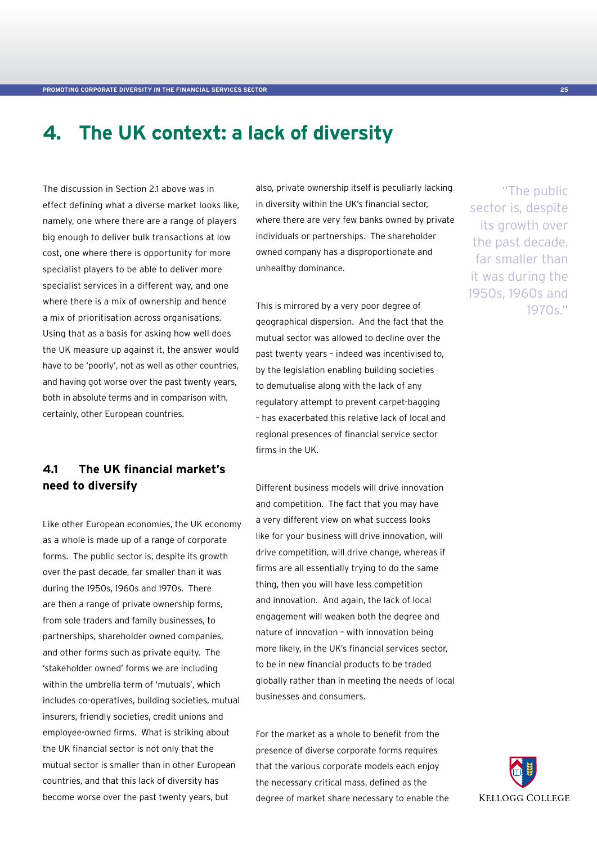## **4. The UK context: a lack of diversity**

The discussion in Section 2.1 above was in effect defining what a diverse market looks like, namely, one where there are a range of players big enough to deliver bulk transactions at low cost, one where there is opportunity for more specialist players to be able to deliver more specialist services in a different way, and one where there is a mix of ownership and hence a mix of prioritisation across organisations. Using that as a basis for asking how well does the UK measure up against it, the answer would have to be 'poorly', not as well as other countries, and having got worse over the past twenty years, both in absolute terms and in comparison with, certainly, other European countries.

### **4.1 The UK financial market's need to diversify**

Like other European economies, the UK economy as a whole is made up of a range of corporate forms. The public sector is, despite its growth over the past decade, far smaller than it was during the 1950s, 1960s and 1970s. There are then a range of private ownership forms, from sole traders and family businesses, to partnerships, shareholder owned companies, and other forms such as private equity. The 'stakeholder owned' forms we are including within the umbrella term of 'mutuals', which includes co-operatives, building societies, mutual insurers, friendly societies, credit unions and employee-owned firms. What is striking about the UK financial sector is not only that the mutual sector is smaller than in other European countries, and that this lack of diversity has become worse over the past twenty years, but

also, private ownership itself is peculiarly lacking in diversity within the UK's financial sector, where there are very few banks owned by private individuals or partnerships. The shareholder owned company has a disproportionate and unhealthy dominance.

This is mirrored by a very poor degree of geographical dispersion. And the fact that the mutual sector was allowed to decline over the past twenty years – indeed was incentivised to, by the legislation enabling building societies to demutualise along with the lack of any regulatory attempt to prevent carpet-bagging – has exacerbated this relative lack of local and regional presences of financial service sector firms in the UK.

Different business models will drive innovation and competition. The fact that you may have a very different view on what success looks like for your business will drive innovation, will drive competition, will drive change, whereas if firms are all essentially trying to do the same thing, then you will have less competition and innovation. And again, the lack of local engagement will weaken both the degree and nature of innovation – with innovation being more likely, in the UK's financial services sector, to be in new financial products to be traded globally rather than in meeting the needs of local businesses and consumers.

For the market as a whole to benefit from the presence of diverse corporate forms requires that the various corporate models each enjoy the necessary critical mass, defined as the degree of market share necessary to enable the

"The public sector is, despite its growth over the past decade, far smaller than it was during the 1950s, 1960s and 1970s."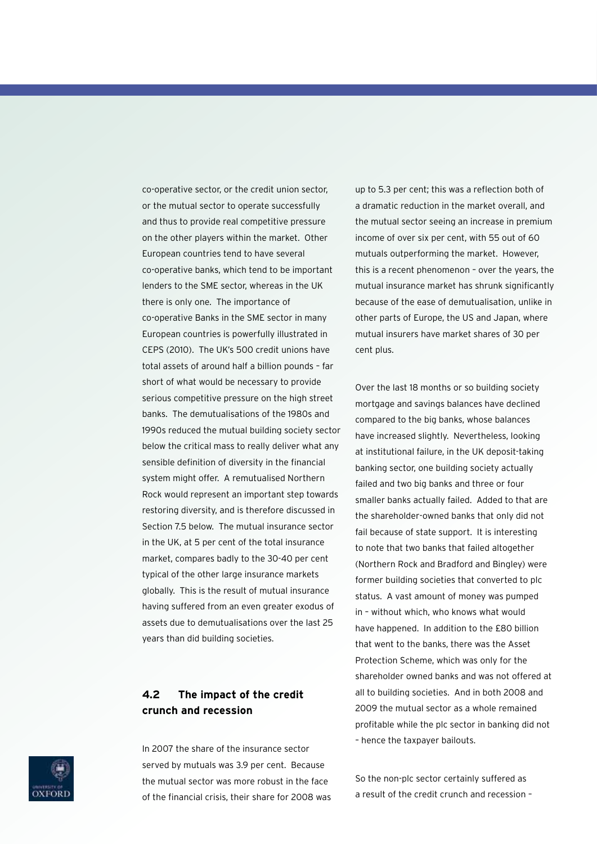co-operative sector, or the credit union sector, or the mutual sector to operate successfully and thus to provide real competitive pressure on the other players within the market. Other European countries tend to have several co-operative banks, which tend to be important lenders to the SME sector, whereas in the UK there is only one. The importance of co-operative Banks in the SME sector in many European countries is powerfully illustrated in CEPS (2010). The UK's 500 credit unions have total assets of around half a billion pounds – far short of what would be necessary to provide serious competitive pressure on the high street banks. The demutualisations of the 1980s and 1990s reduced the mutual building society sector below the critical mass to really deliver what any sensible definition of diversity in the financial system might offer. A remutualised Northern Rock would represent an important step towards restoring diversity, and is therefore discussed in Section 7.5 below. The mutual insurance sector in the UK, at 5 per cent of the total insurance market, compares badly to the 30-40 per cent typical of the other large insurance markets globally. This is the result of mutual insurance having suffered from an even greater exodus of assets due to demutualisations over the last 25 years than did building societies.

### **4.2 The impact of the credit crunch and recession**

In 2007 the share of the insurance sector served by mutuals was 3.9 per cent. Because the mutual sector was more robust in the face of the financial crisis, their share for 2008 was up to 5.3 per cent; this was a reflection both of a dramatic reduction in the market overall, and the mutual sector seeing an increase in premium income of over six per cent, with 55 out of 60 mutuals outperforming the market. However, this is a recent phenomenon – over the years, the mutual insurance market has shrunk significantly because of the ease of demutualisation, unlike in other parts of Europe, the US and Japan, where mutual insurers have market shares of 30 per cent plus.

Over the last 18 months or so building society mortgage and savings balances have declined compared to the big banks, whose balances have increased slightly. Nevertheless, looking at institutional failure, in the UK deposit-taking banking sector, one building society actually failed and two big banks and three or four smaller banks actually failed. Added to that are the shareholder-owned banks that only did not fail because of state support. It is interesting to note that two banks that failed altogether (Northern Rock and Bradford and Bingley) were former building societies that converted to plc status. A vast amount of money was pumped in – without which, who knows what would have happened. In addition to the £80 billion that went to the banks, there was the Asset Protection Scheme, which was only for the shareholder owned banks and was not offered at all to building societies. And in both 2008 and 2009 the mutual sector as a whole remained profitable while the plc sector in banking did not – hence the taxpayer bailouts.

So the non-plc sector certainly suffered as a result of the credit crunch and recession –

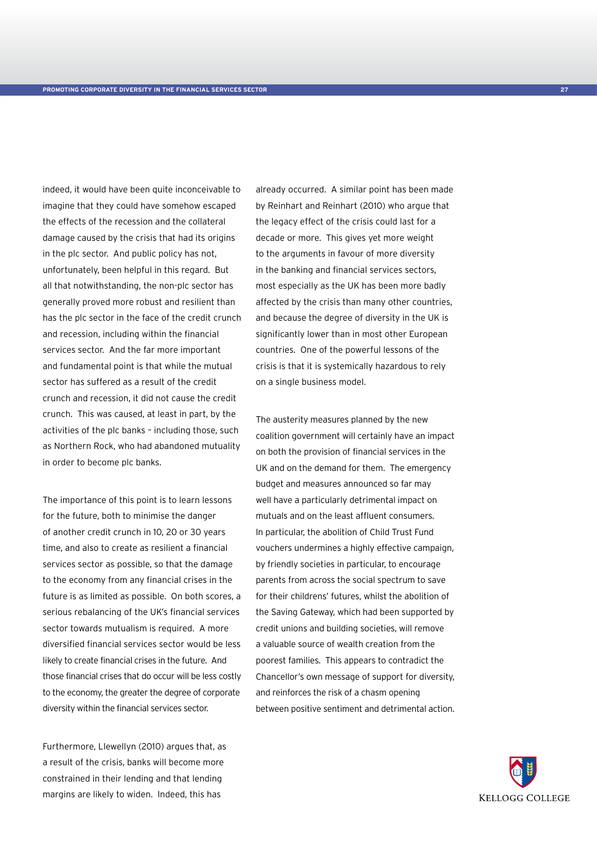indeed, it would have been quite inconceivable to imagine that they could have somehow escaped the effects of the recession and the collateral damage caused by the crisis that had its origins in the plc sector. And public policy has not, unfortunately, been helpful in this regard. But all that notwithstanding, the non-plc sector has generally proved more robust and resilient than has the plc sector in the face of the credit crunch and recession, including within the financial services sector. And the far more important and fundamental point is that while the mutual sector has suffered as a result of the credit crunch and recession, it did not cause the credit crunch. This was caused, at least in part, by the activities of the plc banks – including those, such as Northern Rock, who had abandoned mutuality in order to become plc banks.

The importance of this point is to learn lessons for the future, both to minimise the danger of another credit crunch in 10, 20 or 30 years time, and also to create as resilient a financial services sector as possible, so that the damage to the economy from any financial crises in the future is as limited as possible. On both scores, a serious rebalancing of the UK's financial services sector towards mutualism is required. A more diversified financial services sector would be less likely to create financial crises in the future. And those financial crises that do occur will be less costly to the economy, the greater the degree of corporate diversity within the financial services sector.

Furthermore, Llewellyn (2010) argues that, as a result of the crisis, banks will become more constrained in their lending and that lending margins are likely to widen. Indeed, this has

already occurred. A similar point has been made by Reinhart and Reinhart (2010) who argue that the legacy effect of the crisis could last for a decade or more. This gives yet more weight to the arguments in favour of more diversity in the banking and financial services sectors, most especially as the UK has been more badly affected by the crisis than many other countries, and because the degree of diversity in the UK is significantly lower than in most other European countries. One of the powerful lessons of the crisis is that it is systemically hazardous to rely on a single business model.

The austerity measures planned by the new coalition government will certainly have an impact on both the provision of financial services in the UK and on the demand for them. The emergency budget and measures announced so far may well have a particularly detrimental impact on mutuals and on the least affluent consumers. In particular, the abolition of Child Trust Fund vouchers undermines a highly effective campaign, by friendly societies in particular, to encourage parents from across the social spectrum to save for their childrens' futures, whilst the abolition of the Saving Gateway, which had been supported by credit unions and building societies, will remove a valuable source of wealth creation from the poorest families. This appears to contradict the Chancellor's own message of support for diversity, and reinforces the risk of a chasm opening between positive sentiment and detrimental action.

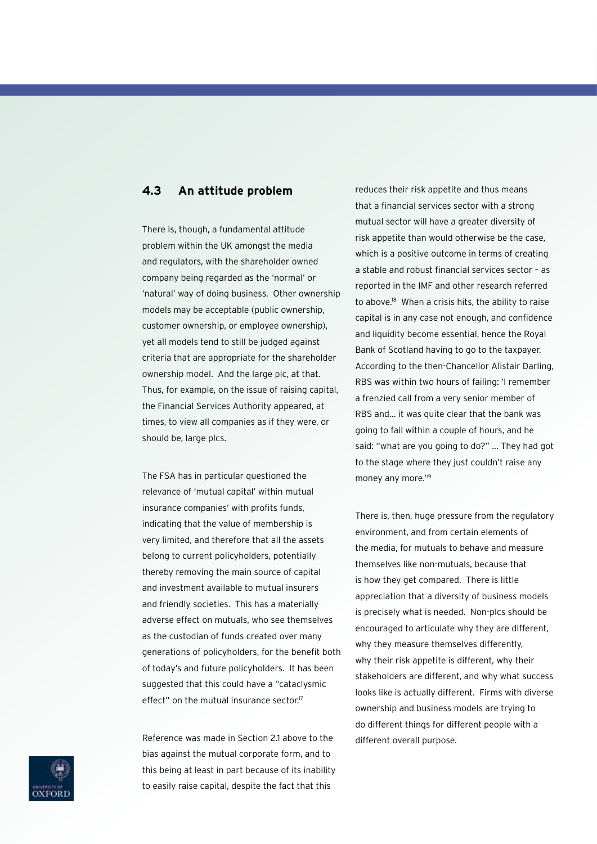#### **4.3 An attitude problem**

There is, though, a fundamental attitude problem within the UK amongst the media and regulators, with the shareholder owned company being regarded as the 'normal' or 'natural' way of doing business. Other ownership models may be acceptable (public ownership, customer ownership, or employee ownership), yet all models tend to still be judged against criteria that are appropriate for the shareholder ownership model. And the large plc, at that. Thus, for example, on the issue of raising capital, the Financial Services Authority appeared, at times, to view all companies as if they were, or should be, large plcs.

The FSA has in particular questioned the relevance of 'mutual capital' within mutual insurance companies' with profits funds, indicating that the value of membership is very limited, and therefore that all the assets belong to current policyholders, potentially thereby removing the main source of capital and investment available to mutual insurers and friendly societies. This has a materially adverse effect on mutuals, who see themselves as the custodian of funds created over many generations of policyholders, for the benefit both of today's and future policyholders. It has been suggested that this could have a "cataclysmic effect" on the mutual insurance sector.<sup>17</sup>

Reference was made in Section 2.1 above to the bias against the mutual corporate form, and to this being at least in part because of its inability to easily raise capital, despite the fact that this

reduces their risk appetite and thus means that a financial services sector with a strong mutual sector will have a greater diversity of risk appetite than would otherwise be the case, which is a positive outcome in terms of creating a stable and robust financial services sector – as reported in the IMF and other research referred to above.<sup>18</sup> When a crisis hits, the ability to raise capital is in any case not enough, and confidence and liquidity become essential, hence the Royal Bank of Scotland having to go to the taxpayer. According to the then-Chancellor Alistair Darling, RBS was within two hours of failing: 'I remember a frenzied call from a very senior member of RBS and... it was quite clear that the bank was going to fail within a couple of hours, and he said: "what are you going to do?" ... They had got to the stage where they just couldn't raise any money any more.'19

There is, then, huge pressure from the regulatory environment, and from certain elements of the media, for mutuals to behave and measure themselves like non-mutuals, because that is how they get compared. There is little appreciation that a diversity of business models is precisely what is needed. Non-plcs should be encouraged to articulate why they are different, why they measure themselves differently, why their risk appetite is different, why their stakeholders are different, and why what success looks like is actually different. Firms with diverse ownership and business models are trying to do different things for different people with a different overall purpose.

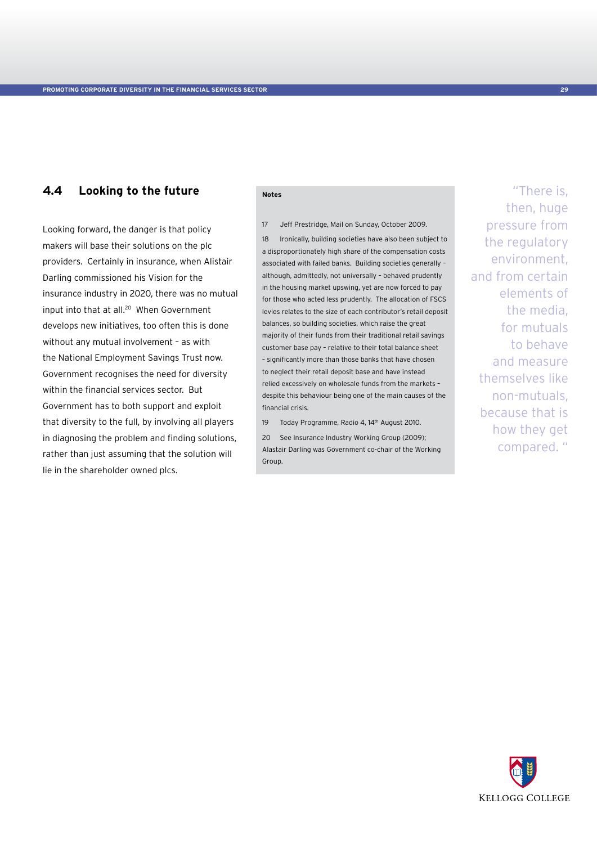#### **4.4 Looking to the future**

Looking forward, the danger is that policy makers will base their solutions on the plc providers. Certainly in insurance, when Alistair Darling commissioned his Vision for the insurance industry in 2020, there was no mutual input into that at all.20 When Government develops new initiatives, too often this is done without any mutual involvement – as with the National Employment Savings Trust now. Government recognises the need for diversity within the financial services sector. But Government has to both support and exploit that diversity to the full, by involving all players in diagnosing the problem and finding solutions, rather than just assuming that the solution will lie in the shareholder owned plcs.

#### **Notes**

17 Jeff Prestridge, Mail on Sunday, October 2009.

18 Ironically, building societies have also been subject to a disproportionately high share of the compensation costs associated with failed banks. Building societies generally – although, admittedly, not universally – behaved prudently in the housing market upswing, yet are now forced to pay for those who acted less prudently. The allocation of FSCS levies relates to the size of each contributor's retail deposit balances, so building societies, which raise the great majority of their funds from their traditional retail savings customer base pay – relative to their total balance sheet – significantly more than those banks that have chosen to neglect their retail deposit base and have instead relied excessively on wholesale funds from the markets – despite this behaviour being one of the main causes of the financial crisis.

19 Today Programme, Radio 4, 14<sup>th</sup> August 2010.

20 See Insurance Industry Working Group (2009); Alastair Darling was Government co-chair of the Working Group.

"There is, then, huge pressure from the regulatory environment, and from certain elements of the media, for mutuals to behave and measure themselves like non-mutuals, because that is how they get compared. "

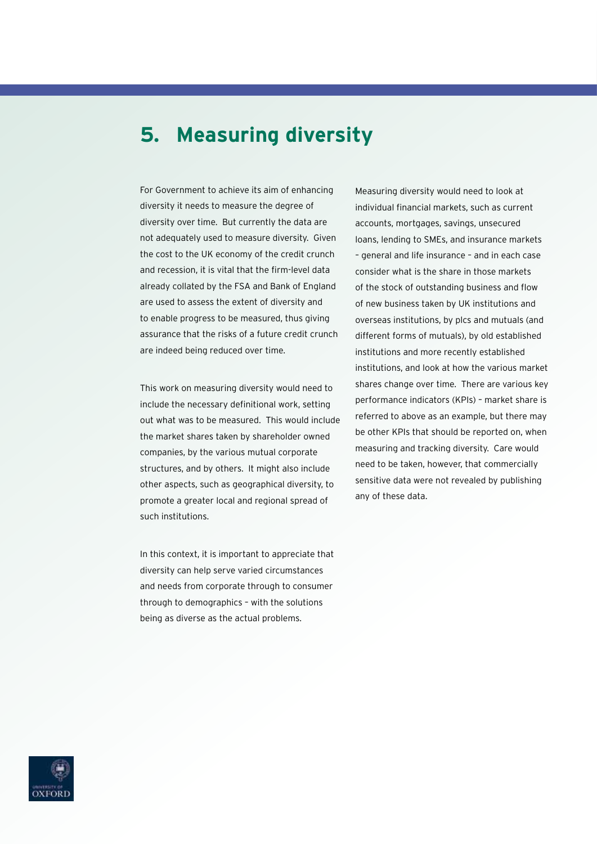## **5. Measuring diversity**

For Government to achieve its aim of enhancing diversity it needs to measure the degree of diversity over time. But currently the data are not adequately used to measure diversity. Given the cost to the UK economy of the credit crunch and recession, it is vital that the firm-level data already collated by the FSA and Bank of England are used to assess the extent of diversity and to enable progress to be measured, thus giving assurance that the risks of a future credit crunch are indeed being reduced over time.

This work on measuring diversity would need to include the necessary definitional work, setting out what was to be measured. This would include the market shares taken by shareholder owned companies, by the various mutual corporate structures, and by others. It might also include other aspects, such as geographical diversity, to promote a greater local and regional spread of such institutions.

In this context, it is important to appreciate that diversity can help serve varied circumstances and needs from corporate through to consumer through to demographics – with the solutions being as diverse as the actual problems.

Measuring diversity would need to look at individual financial markets, such as current accounts, mortgages, savings, unsecured loans, lending to SMEs, and insurance markets – general and life insurance – and in each case consider what is the share in those markets of the stock of outstanding business and flow of new business taken by UK institutions and overseas institutions, by plcs and mutuals (and different forms of mutuals), by old established institutions and more recently established institutions, and look at how the various market shares change over time. There are various key performance indicators (KPIs) – market share is referred to above as an example, but there may be other KPIs that should be reported on, when measuring and tracking diversity. Care would need to be taken, however, that commercially sensitive data were not revealed by publishing any of these data.

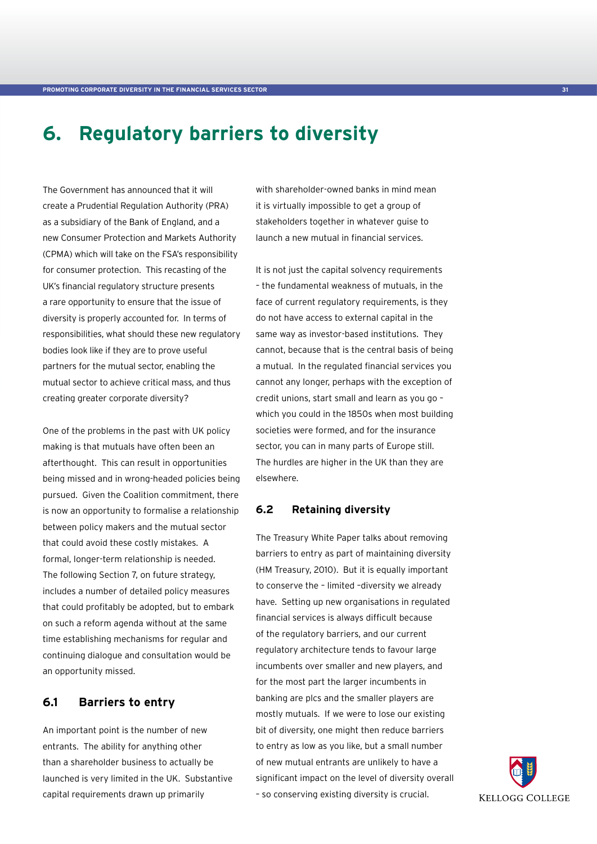## **6. Regulatory barriers to diversity**

The Government has announced that it will create a Prudential Regulation Authority (PRA) as a subsidiary of the Bank of England, and a new Consumer Protection and Markets Authority (CPMA) which will take on the FSA's responsibility for consumer protection. This recasting of the UK's financial regulatory structure presents a rare opportunity to ensure that the issue of diversity is properly accounted for. In terms of responsibilities, what should these new regulatory bodies look like if they are to prove useful partners for the mutual sector, enabling the mutual sector to achieve critical mass, and thus creating greater corporate diversity?

One of the problems in the past with UK policy making is that mutuals have often been an afterthought. This can result in opportunities being missed and in wrong-headed policies being pursued. Given the Coalition commitment, there is now an opportunity to formalise a relationship between policy makers and the mutual sector that could avoid these costly mistakes. A formal, longer-term relationship is needed. The following Section 7, on future strategy, includes a number of detailed policy measures that could profitably be adopted, but to embark on such a reform agenda without at the same time establishing mechanisms for regular and continuing dialogue and consultation would be an opportunity missed.

### **6.1 Barriers to entry**

An important point is the number of new entrants. The ability for anything other than a shareholder business to actually be launched is very limited in the UK. Substantive capital requirements drawn up primarily

with shareholder-owned banks in mind mean it is virtually impossible to get a group of stakeholders together in whatever guise to launch a new mutual in financial services.

It is not just the capital solvency requirements – the fundamental weakness of mutuals, in the face of current regulatory requirements, is they do not have access to external capital in the same way as investor-based institutions. They cannot, because that is the central basis of being a mutual. In the regulated financial services you cannot any longer, perhaps with the exception of credit unions, start small and learn as you go – which you could in the 1850s when most building societies were formed, and for the insurance sector, you can in many parts of Europe still. The hurdles are higher in the UK than they are elsewhere.

#### **6.2 Retaining diversity**

The Treasury White Paper talks about removing barriers to entry as part of maintaining diversity (HM Treasury, 2010). But it is equally important to conserve the – limited –diversity we already have. Setting up new organisations in regulated financial services is always difficult because of the regulatory barriers, and our current regulatory architecture tends to favour large incumbents over smaller and new players, and for the most part the larger incumbents in banking are plcs and the smaller players are mostly mutuals. If we were to lose our existing bit of diversity, one might then reduce barriers to entry as low as you like, but a small number of new mutual entrants are unlikely to have a significant impact on the level of diversity overall – so conserving existing diversity is crucial.

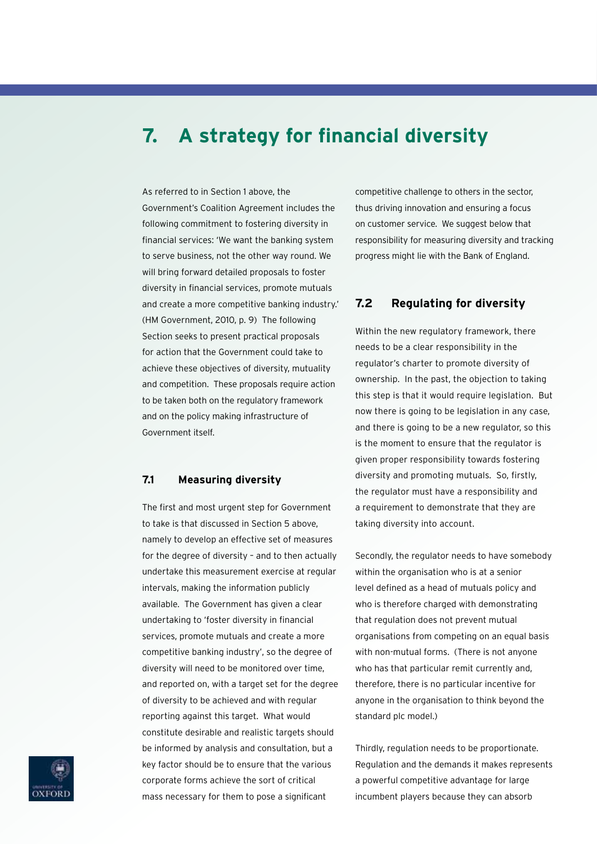## **7. A strategy for financial diversity**

As referred to in Section 1 above, the Government's Coalition Agreement includes the following commitment to fostering diversity in financial services: 'We want the banking system to serve business, not the other way round. We will bring forward detailed proposals to foster diversity in financial services, promote mutuals and create a more competitive banking industry.' (HM Government, 2010, p. 9) The following Section seeks to present practical proposals for action that the Government could take to achieve these objectives of diversity, mutuality and competition. These proposals require action to be taken both on the regulatory framework and on the policy making infrastructure of Government itself.

#### **7.1 Measuring diversity**

The first and most urgent step for Government to take is that discussed in Section 5 above, namely to develop an effective set of measures for the degree of diversity – and to then actually undertake this measurement exercise at regular intervals, making the information publicly available. The Government has given a clear undertaking to 'foster diversity in financial services, promote mutuals and create a more competitive banking industry', so the degree of diversity will need to be monitored over time, and reported on, with a target set for the degree of diversity to be achieved and with regular reporting against this target. What would constitute desirable and realistic targets should be informed by analysis and consultation, but a key factor should be to ensure that the various corporate forms achieve the sort of critical mass necessary for them to pose a significant

competitive challenge to others in the sector, thus driving innovation and ensuring a focus on customer service. We suggest below that responsibility for measuring diversity and tracking progress might lie with the Bank of England.

#### **7.2 Regulating for diversity**

Within the new regulatory framework, there needs to be a clear responsibility in the regulator's charter to promote diversity of ownership. In the past, the objection to taking this step is that it would require legislation. But now there is going to be legislation in any case, and there is going to be a new regulator, so this is the moment to ensure that the regulator is given proper responsibility towards fostering diversity and promoting mutuals. So, firstly, the regulator must have a responsibility and a requirement to demonstrate that they are taking diversity into account.

Secondly, the regulator needs to have somebody within the organisation who is at a senior level defined as a head of mutuals policy and who is therefore charged with demonstrating that regulation does not prevent mutual organisations from competing on an equal basis with non-mutual forms. (There is not anyone who has that particular remit currently and, therefore, there is no particular incentive for anyone in the organisation to think beyond the standard plc model.)

Thirdly, regulation needs to be proportionate. Regulation and the demands it makes represents a powerful competitive advantage for large incumbent players because they can absorb

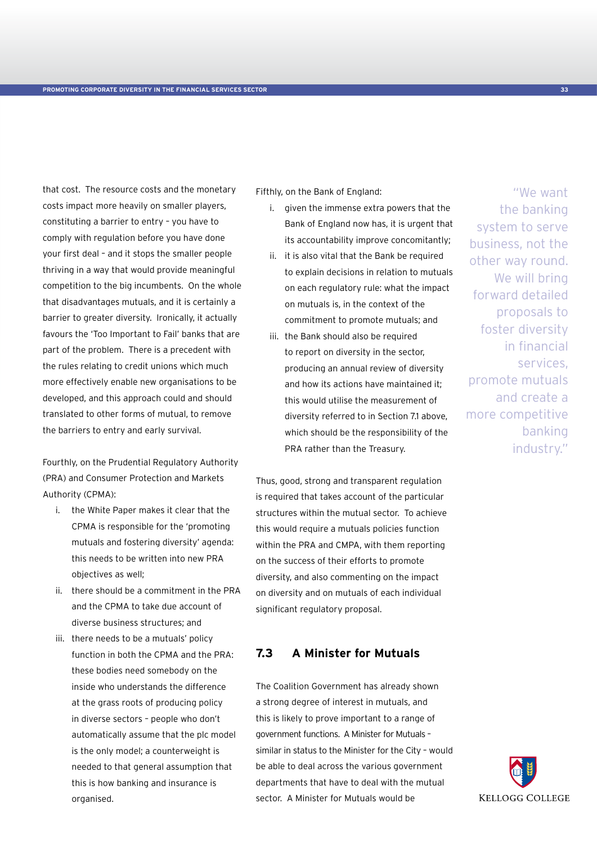that cost. The resource costs and the monetary costs impact more heavily on smaller players, constituting a barrier to entry – you have to comply with regulation before you have done your first deal – and it stops the smaller people thriving in a way that would provide meaningful competition to the big incumbents. On the whole that disadvantages mutuals, and it is certainly a barrier to greater diversity. Ironically, it actually favours the 'Too Important to Fail' banks that are part of the problem. There is a precedent with the rules relating to credit unions which much more effectively enable new organisations to be developed, and this approach could and should translated to other forms of mutual, to remove the barriers to entry and early survival.

Fourthly, on the Prudential Regulatory Authority (PRA) and Consumer Protection and Markets Authority (CPMA):

- i. the White Paper makes it clear that the CPMA is responsible for the 'promoting mutuals and fostering diversity' agenda: this needs to be written into new PRA objectives as well;
- ii. there should be a commitment in the PRA and the CPMA to take due account of diverse business structures; and
- iii. there needs to be a mutuals' policy function in both the CPMA and the PRA: these bodies need somebody on the inside who understands the difference at the grass roots of producing policy in diverse sectors – people who don't automatically assume that the plc model is the only model; a counterweight is needed to that general assumption that this is how banking and insurance is organised.

Fifthly, on the Bank of England:

- i. given the immense extra powers that the Bank of England now has, it is urgent that its accountability improve concomitantly;
- ii. it is also vital that the Bank be required to explain decisions in relation to mutuals on each regulatory rule: what the impact on mutuals is, in the context of the commitment to promote mutuals; and
- iii. the Bank should also be required to report on diversity in the sector, producing an annual review of diversity and how its actions have maintained it; this would utilise the measurement of diversity referred to in Section 7.1 above, which should be the responsibility of the PRA rather than the Treasury.

Thus, good, strong and transparent regulation is required that takes account of the particular structures within the mutual sector. To achieve this would require a mutuals policies function within the PRA and CMPA, with them reporting on the success of their efforts to promote diversity, and also commenting on the impact on diversity and on mutuals of each individual significant regulatory proposal.

### **7.3 A Minister for Mutuals**

The Coalition Government has already shown a strong degree of interest in mutuals, and this is likely to prove important to a range of government functions. A Minister for Mutuals – similar in status to the Minister for the City – would be able to deal across the various government departments that have to deal with the mutual sector. A Minister for Mutuals would be

 "We want the banking system to serve business, not the other way round. We will bring forward detailed proposals to foster diversity in financial services, promote mutuals and create a more competitive banking industry."

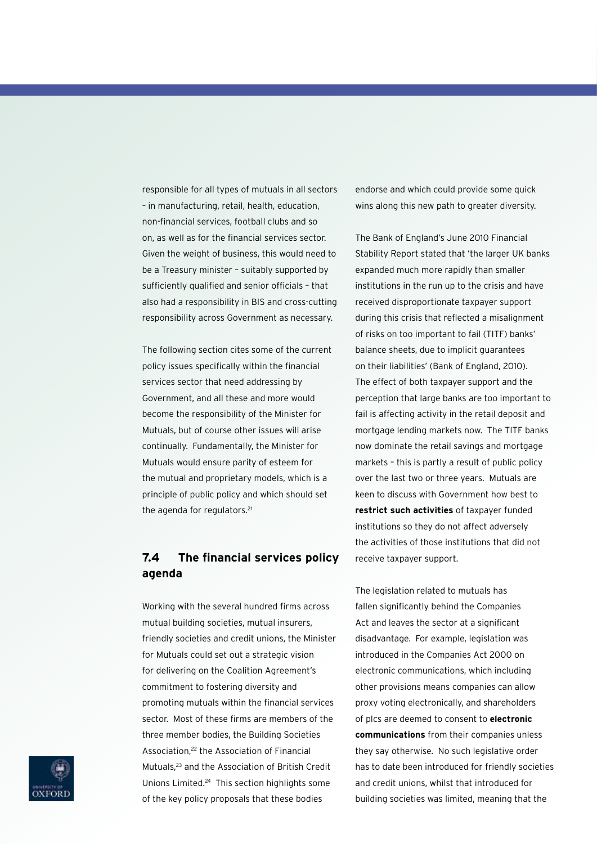responsible for all types of mutuals in all sectors – in manufacturing, retail, health, education, non-financial services, football clubs and so on, as well as for the financial services sector. Given the weight of business, this would need to be a Treasury minister – suitably supported by sufficiently qualified and senior officials – that also had a responsibility in BIS and cross-cutting responsibility across Government as necessary.

The following section cites some of the current policy issues specifically within the financial services sector that need addressing by Government, and all these and more would become the responsibility of the Minister for Mutuals, but of course other issues will arise continually. Fundamentally, the Minister for Mutuals would ensure parity of esteem for the mutual and proprietary models, which is a principle of public policy and which should set the agenda for regulators.<sup>21</sup>

### **7.4 The financial services policy agenda**

Working with the several hundred firms across mutual building societies, mutual insurers, friendly societies and credit unions, the Minister for Mutuals could set out a strategic vision for delivering on the Coalition Agreement's commitment to fostering diversity and promoting mutuals within the financial services sector. Most of these firms are members of the three member bodies, the Building Societies Association,22 the Association of Financial Mutuals,23 and the Association of British Credit Unions Limited.24 This section highlights some of the key policy proposals that these bodies

endorse and which could provide some quick wins along this new path to greater diversity.

The Bank of England's June 2010 Financial Stability Report stated that 'the larger UK banks expanded much more rapidly than smaller institutions in the run up to the crisis and have received disproportionate taxpayer support during this crisis that reflected a misalignment of risks on too important to fail (TITF) banks' balance sheets, due to implicit guarantees on their liabilities' (Bank of England, 2010). The effect of both taxpayer support and the perception that large banks are too important to fail is affecting activity in the retail deposit and mortgage lending markets now. The TITF banks now dominate the retail savings and mortgage markets – this is partly a result of public policy over the last two or three years. Mutuals are keen to discuss with Government how best to **restrict such activities** of taxpayer funded institutions so they do not affect adversely the activities of those institutions that did not receive taxpayer support.

The legislation related to mutuals has fallen significantly behind the Companies Act and leaves the sector at a significant disadvantage. For example, legislation was introduced in the Companies Act 2000 on electronic communications, which including other provisions means companies can allow proxy voting electronically, and shareholders of plcs are deemed to consent to **electronic communications** from their companies unless they say otherwise. No such legislative order has to date been introduced for friendly societies and credit unions, whilst that introduced for building societies was limited, meaning that the

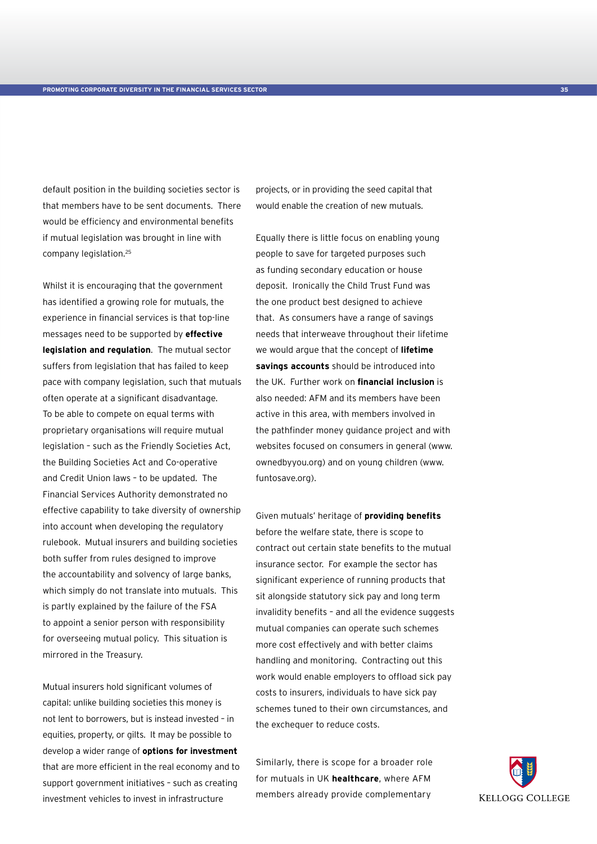default position in the building societies sector is that members have to be sent documents. There would be efficiency and environmental benefits if mutual legislation was brought in line with company legislation.25

Whilst it is encouraging that the government has identified a growing role for mutuals, the experience in financial services is that top-line messages need to be supported by **effective legislation and regulation**. The mutual sector suffers from legislation that has failed to keep pace with company legislation, such that mutuals often operate at a significant disadvantage. To be able to compete on equal terms with proprietary organisations will require mutual legislation – such as the Friendly Societies Act, the Building Societies Act and Co-operative and Credit Union laws – to be updated. The Financial Services Authority demonstrated no effective capability to take diversity of ownership into account when developing the regulatory rulebook. Mutual insurers and building societies both suffer from rules designed to improve the accountability and solvency of large banks, which simply do not translate into mutuals. This is partly explained by the failure of the FSA to appoint a senior person with responsibility for overseeing mutual policy. This situation is mirrored in the Treasury.

Mutual insurers hold significant volumes of capital: unlike building societies this money is not lent to borrowers, but is instead invested – in equities, property, or gilts. It may be possible to develop a wider range of **options for investment** that are more efficient in the real economy and to support government initiatives – such as creating investment vehicles to invest in infrastructure

projects, or in providing the seed capital that would enable the creation of new mutuals.

Equally there is little focus on enabling young people to save for targeted purposes such as funding secondary education or house deposit. Ironically the Child Trust Fund was the one product best designed to achieve that. As consumers have a range of savings needs that interweave throughout their lifetime we would argue that the concept of **lifetime savings accounts** should be introduced into the UK. Further work on **financial inclusion** is also needed: AFM and its members have been active in this area, with members involved in the pathfinder money guidance project and with websites focused on consumers in general (www. ownedbyyou.org) and on young children (www. funtosave.org).

Given mutuals' heritage of **providing benefits** before the welfare state, there is scope to contract out certain state benefits to the mutual insurance sector. For example the sector has significant experience of running products that sit alongside statutory sick pay and long term invalidity benefits – and all the evidence suggests mutual companies can operate such schemes more cost effectively and with better claims handling and monitoring. Contracting out this work would enable employers to offload sick pay costs to insurers, individuals to have sick pay schemes tuned to their own circumstances, and the exchequer to reduce costs.

Similarly, there is scope for a broader role for mutuals in UK **healthcare**, where AFM members already provide complementary

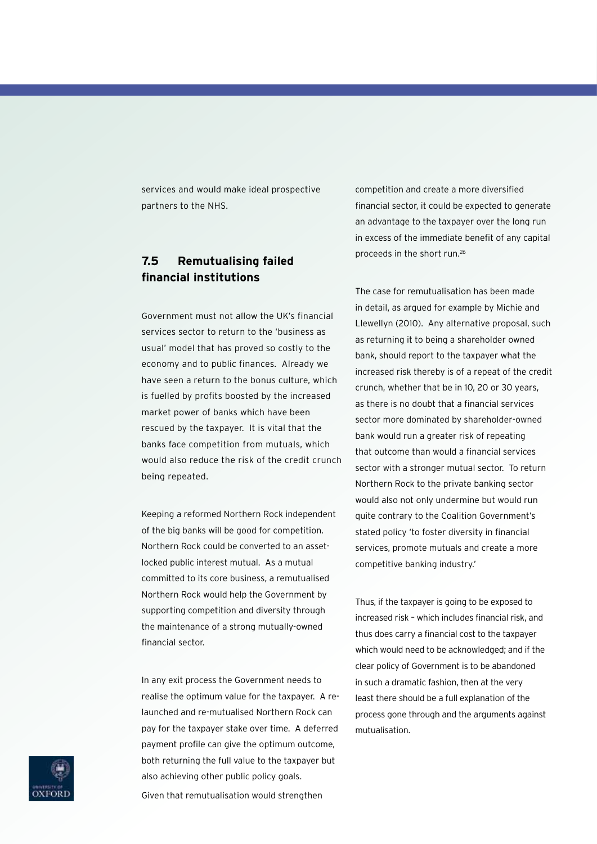services and would make ideal prospective partners to the NHS.

### **7.5 Remutualising failed financial institutions**

Government must not allow the UK's financial services sector to return to the 'business as usual' model that has proved so costly to the economy and to public finances. Already we have seen a return to the bonus culture, which is fuelled by profits boosted by the increased market power of banks which have been rescued by the taxpayer. It is vital that the banks face competition from mutuals, which would also reduce the risk of the credit crunch being repeated.

Keeping a reformed Northern Rock independent of the big banks will be good for competition. Northern Rock could be converted to an assetlocked public interest mutual. As a mutual committed to its core business, a remutualised Northern Rock would help the Government by supporting competition and diversity through the maintenance of a strong mutually-owned financial sector.

In any exit process the Government needs to realise the optimum value for the taxpayer. A relaunched and re-mutualised Northern Rock can pay for the taxpayer stake over time. A deferred payment profile can give the optimum outcome, both returning the full value to the taxpayer but also achieving other public policy goals.

Given that remutualisation would strengthen

competition and create a more diversified financial sector, it could be expected to generate an advantage to the taxpayer over the long run in excess of the immediate benefit of any capital proceeds in the short run.26

The case for remutualisation has been made in detail, as argued for example by Michie and Llewellyn (2010). Any alternative proposal, such as returning it to being a shareholder owned bank, should report to the taxpayer what the increased risk thereby is of a repeat of the credit crunch, whether that be in 10, 20 or 30 years, as there is no doubt that a financial services sector more dominated by shareholder-owned bank would run a greater risk of repeating that outcome than would a financial services sector with a stronger mutual sector. To return Northern Rock to the private banking sector would also not only undermine but would run quite contrary to the Coalition Government's stated policy 'to foster diversity in financial services, promote mutuals and create a more competitive banking industry.'

Thus, if the taxpayer is going to be exposed to increased risk – which includes financial risk, and thus does carry a financial cost to the taxpayer which would need to be acknowledged; and if the clear policy of Government is to be abandoned in such a dramatic fashion, then at the very least there should be a full explanation of the process gone through and the arguments against mutualisation.

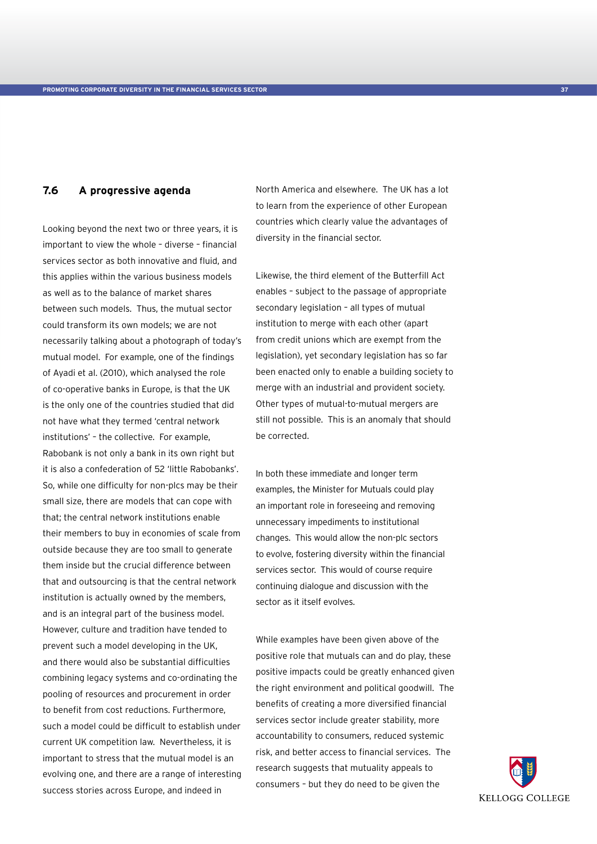#### **7.6 A progressive agenda**

Looking beyond the next two or three years, it is important to view the whole – diverse – financial services sector as both innovative and fluid, and this applies within the various business models as well as to the balance of market shares between such models. Thus, the mutual sector could transform its own models; we are not necessarily talking about a photograph of today's mutual model. For example, one of the findings of Ayadi et al. (2010), which analysed the role of co-operative banks in Europe, is that the UK is the only one of the countries studied that did not have what they termed 'central network institutions' – the collective. For example, Rabobank is not only a bank in its own right but it is also a confederation of 52 'little Rabobanks'. So, while one difficulty for non-plcs may be their small size, there are models that can cope with that; the central network institutions enable their members to buy in economies of scale from outside because they are too small to generate them inside but the crucial difference between that and outsourcing is that the central network institution is actually owned by the members, and is an integral part of the business model. However, culture and tradition have tended to prevent such a model developing in the UK, and there would also be substantial difficulties combining legacy systems and co-ordinating the pooling of resources and procurement in order to benefit from cost reductions. Furthermore, such a model could be difficult to establish under current UK competition law. Nevertheless, it is important to stress that the mutual model is an evolving one, and there are a range of interesting success stories across Europe, and indeed in

North America and elsewhere. The UK has a lot to learn from the experience of other European countries which clearly value the advantages of diversity in the financial sector.

Likewise, the third element of the Butterfill Act enables – subject to the passage of appropriate secondary legislation – all types of mutual institution to merge with each other (apart from credit unions which are exempt from the legislation), yet secondary legislation has so far been enacted only to enable a building society to merge with an industrial and provident society. Other types of mutual-to-mutual mergers are still not possible. This is an anomaly that should be corrected.

In both these immediate and longer term examples, the Minister for Mutuals could play an important role in foreseeing and removing unnecessary impediments to institutional changes. This would allow the non-plc sectors to evolve, fostering diversity within the financial services sector. This would of course require continuing dialogue and discussion with the sector as it itself evolves.

While examples have been given above of the positive role that mutuals can and do play, these positive impacts could be greatly enhanced given the right environment and political goodwill. The benefits of creating a more diversified financial services sector include greater stability, more accountability to consumers, reduced systemic risk, and better access to financial services. The research suggests that mutuality appeals to consumers – but they do need to be given the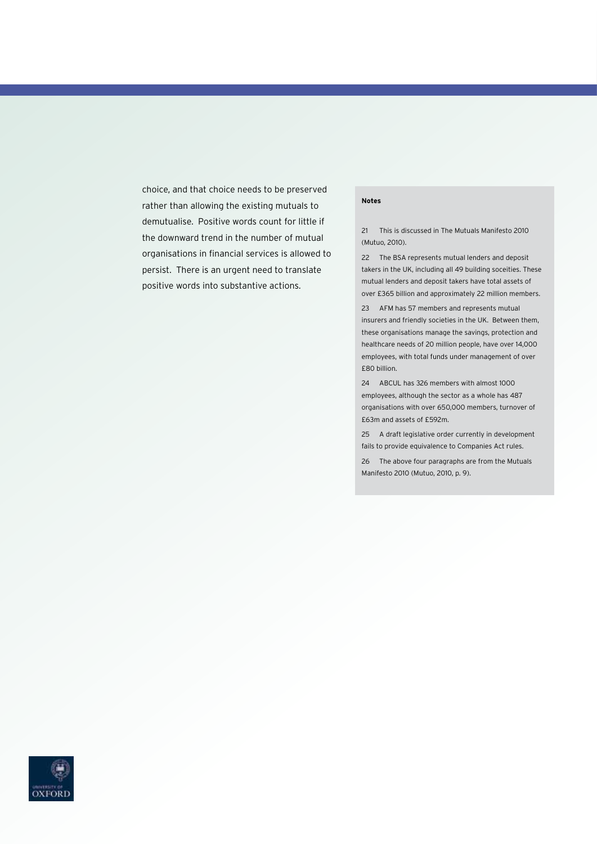choice, and that choice needs to be preserved rather than allowing the existing mutuals to demutualise. Positive words count for little if the downward trend in the number of mutual organisations in financial services is allowed to persist. There is an urgent need to translate positive words into substantive actions.

#### **Notes**

21 This is discussed in The Mutuals Manifesto 2010 (Mutuo, 2010).

22 The BSA represents mutual lenders and deposit takers in the UK, including all 49 building soceities. These mutual lenders and deposit takers have total assets of over £365 billion and approximately 22 million members.

23 AFM has 57 members and represents mutual insurers and friendly societies in the UK. Between them, these organisations manage the savings, protection and healthcare needs of 20 million people, have over 14,000 employees, with total funds under management of over £80 billion.

24 ABCUL has 326 members with almost 1000 employees, although the sector as a whole has 487 organisations with over 650,000 members, turnover of £63m and assets of £592m.

25 A draft legislative order currently in development fails to provide equivalence to Companies Act rules.

26 The above four paragraphs are from the Mutuals Manifesto 2010 (Mutuo, 2010, p. 9).

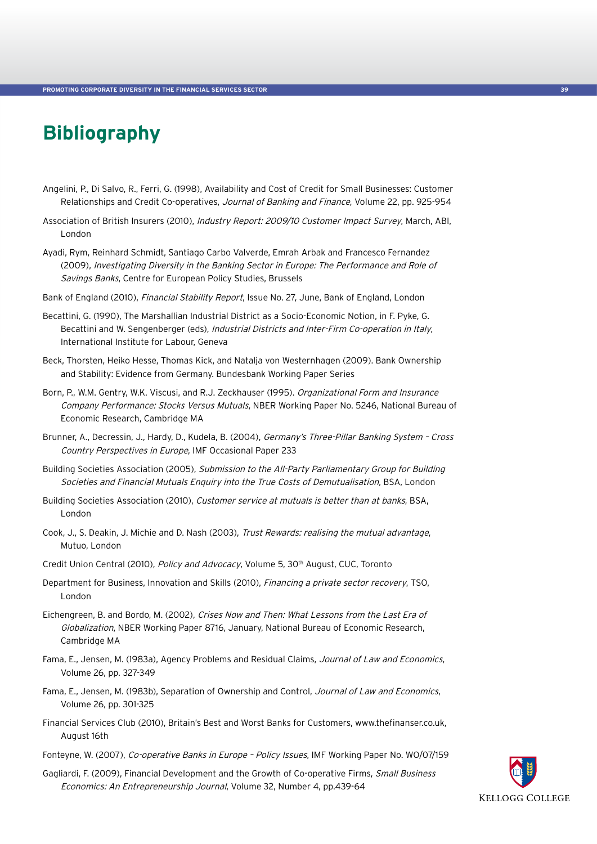## **Bibliography**

- Angelini, P., Di Salvo, R., Ferri, G. (1998), Availability and Cost of Credit for Small Businesses: Customer Relationships and Credit Co-operatives, Journal of Banking and Finance, Volume 22, pp. 925-954
- Association of British Insurers (2010), Industry Report: 2009/10 Customer Impact Survey, March, ABI, London
- Ayadi, Rym, Reinhard Schmidt, Santiago Carbo Valverde, Emrah Arbak and Francesco Fernandez (2009), Investigating Diversity in the Banking Sector in Europe: The Performance and Role of Savings Banks, Centre for European Policy Studies, Brussels
- Bank of England (2010), *Financial Stability Report*, Issue No. 27, June, Bank of England, London
- Becattini, G. (1990), The Marshallian Industrial District as a Socio-Economic Notion, in F. Pyke, G. Becattini and W. Sengenberger (eds), Industrial Districts and Inter-Firm Co-operation in Italy, International Institute for Labour, Geneva
- Beck, Thorsten, Heiko Hesse, Thomas Kick, and Natalja von Westernhagen (2009). Bank Ownership and Stability: Evidence from Germany. Bundesbank Working Paper Series
- Born, P., W.M. Gentry, W.K. Viscusi, and R.J. Zeckhauser (1995). Organizational Form and Insurance Company Performance: Stocks Versus Mutuals, NBER Working Paper No. 5246, National Bureau of Economic Research, Cambridge MA
- Brunner, A., Decressin, J., Hardy, D., Kudela, B. (2004), Germany's Three-Pillar Banking System Cross Country Perspectives in Europe, IMF Occasional Paper 233
- Building Societies Association (2005), Submission to the All-Party Parliamentary Group for Building Societies and Financial Mutuals Enquiry into the True Costs of Demutualisation, BSA, London
- Building Societies Association (2010), Customer service at mutuals is better than at banks, BSA, London
- Cook, J., S. Deakin, J. Michie and D. Nash (2003), Trust Rewards: realising the mutual advantage, Mutuo, London
- Credit Union Central (2010), Policy and Advocacy, Volume 5, 30<sup>th</sup> August, CUC, Toronto
- Department for Business, Innovation and Skills (2010), Financing a private sector recovery, TSO, London
- Eichengreen, B. and Bordo, M. (2002), Crises Now and Then: What Lessons from the Last Era of Globalization, NBER Working Paper 8716, January, National Bureau of Economic Research, Cambridge MA
- Fama, E., Jensen, M. (1983a), Agency Problems and Residual Claims, Journal of Law and Economics, Volume 26, pp. 327-349
- Fama, E., Jensen, M. (1983b), Separation of Ownership and Control, Journal of Law and Economics, Volume 26, pp. 301-325
- Financial Services Club (2010), Britain's Best and Worst Banks for Customers, www.thefinanser.co.uk, August 16th
- Fonteyne, W. (2007), Co-operative Banks in Europe Policy Issues, IMF Working Paper No. WO/07/159
- Gagliardi, F. (2009), Financial Development and the Growth of Co-operative Firms, Small Business Economics: An Entrepreneurship Journal, Volume 32, Number 4, pp.439-64

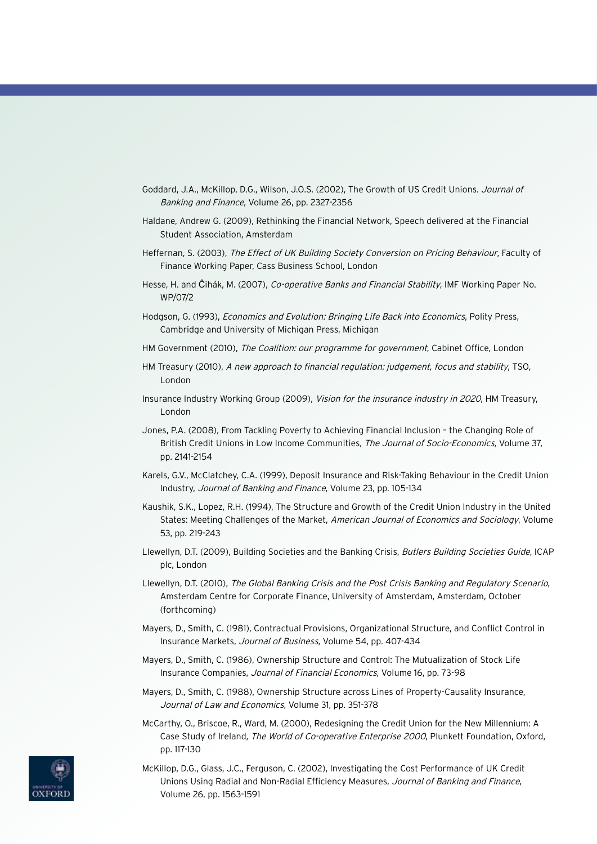- Goddard, J.A., McKillop, D.G., Wilson, J.O.S. (2002), The Growth of US Credit Unions. Journal of Banking and Finance, Volume 26, pp. 2327-2356
- Haldane, Andrew G. (2009), Rethinking the Financial Network, Speech delivered at the Financial Student Association, Amsterdam
- Heffernan, S. (2003), The Effect of UK Building Society Conversion on Pricing Behaviour, Faculty of Finance Working Paper, Cass Business School, London
- Hesse, H. and Ĉihák, M. (2007), Co-operative Banks and Financial Stability, IMF Working Paper No. WP/07/2
- Hodgson, G. (1993), Economics and Evolution: Bringing Life Back into Economics, Polity Press, Cambridge and University of Michigan Press, Michigan
- HM Government (2010), The Coalition: our programme for government, Cabinet Office, London
- HM Treasury (2010), A new approach to financial regulation: judgement, focus and stability, TSO, London
- Insurance Industry Working Group (2009), Vision for the insurance industry in 2020, HM Treasury, London
- Jones, P.A. (2008), From Tackling Poverty to Achieving Financial Inclusion the Changing Role of British Credit Unions in Low Income Communities, The Journal of Socio-Economics, Volume 37, pp. 2141-2154
- Karels, G.V., McClatchey, C.A. (1999), Deposit Insurance and Risk-Taking Behaviour in the Credit Union Industry, Journal of Banking and Finance, Volume 23, pp. 105-134
- Kaushik, S.K., Lopez, R.H. (1994), The Structure and Growth of the Credit Union Industry in the United States: Meeting Challenges of the Market, American Journal of Economics and Sociology, Volume 53, pp. 219-243
- Llewellyn, D.T. (2009), Building Societies and the Banking Crisis, Butlers Building Societies Guide, ICAP plc, London
- Llewellyn, D.T. (2010), The Global Banking Crisis and the Post Crisis Banking and Regulatory Scenario, Amsterdam Centre for Corporate Finance, University of Amsterdam, Amsterdam, October (forthcoming)
- Mayers, D., Smith, C. (1981), Contractual Provisions, Organizational Structure, and Conflict Control in Insurance Markets, Journal of Business, Volume 54, pp. 407-434
- Mayers, D., Smith, C. (1986), Ownership Structure and Control: The Mutualization of Stock Life Insurance Companies, Journal of Financial Economics, Volume 16, pp. 73-98
- Mayers, D., Smith, C. (1988), Ownership Structure across Lines of Property-Causality Insurance, Journal of Law and Economics, Volume 31, pp. 351-378
- McCarthy, O., Briscoe, R., Ward, M. (2000), Redesigning the Credit Union for the New Millennium: A Case Study of Ireland, The World of Co-operative Enterprise 2000, Plunkett Foundation, Oxford, pp. 117-130
- McKillop, D.G., Glass, J.C., Ferguson, C. (2002), Investigating the Cost Performance of UK Credit Unions Using Radial and Non-Radial Efficiency Measures, Journal of Banking and Finance, Volume 26, pp. 1563-1591

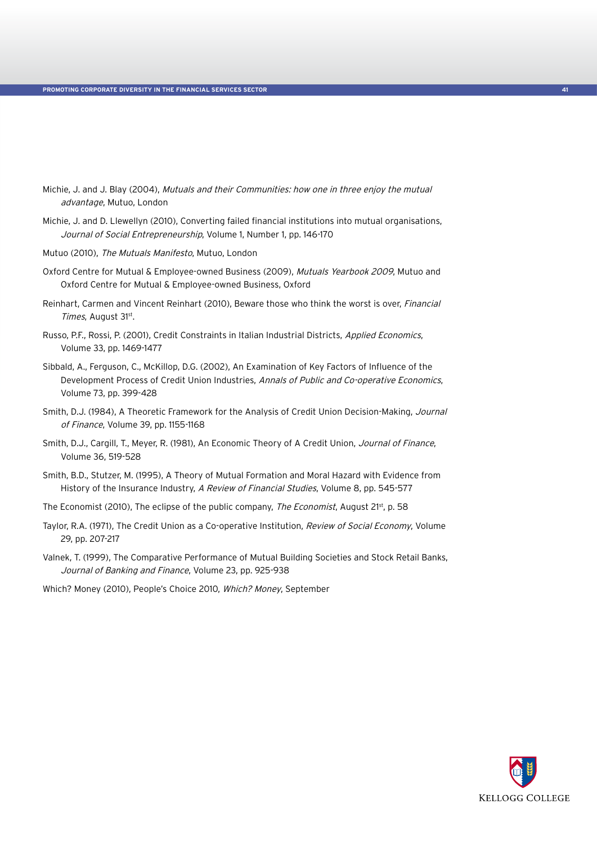- Michie, J. and J. Blay (2004), Mutuals and their Communities: how one in three enjoy the mutual advantage, Mutuo, London
- Michie, J. and D. Llewellyn (2010), Converting failed financial institutions into mutual organisations, Journal of Social Entrepreneurship, Volume 1, Number 1, pp. 146-170
- Mutuo (2010), The Mutuals Manifesto, Mutuo, London
- Oxford Centre for Mutual & Employee-owned Business (2009), Mutuals Yearbook 2009, Mutuo and Oxford Centre for Mutual & Employee-owned Business, Oxford
- Reinhart, Carmen and Vincent Reinhart (2010), Beware those who think the worst is over, *Financial* Times, August 31st.
- Russo, P.F., Rossi, P. (2001), Credit Constraints in Italian Industrial Districts, Applied Economics, Volume 33, pp. 1469-1477
- Sibbald, A., Ferguson, C., McKillop, D.G. (2002), An Examination of Key Factors of Influence of the Development Process of Credit Union Industries, Annals of Public and Co-operative Economics, Volume 73, pp. 399-428
- Smith, D.J. (1984), A Theoretic Framework for the Analysis of Credit Union Decision-Making, Journal of Finance, Volume 39, pp. 1155-1168
- Smith, D.J., Cargill, T., Meyer, R. (1981), An Economic Theory of A Credit Union, Journal of Finance, Volume 36, 519-528
- Smith, B.D., Stutzer, M. (1995), A Theory of Mutual Formation and Moral Hazard with Evidence from History of the Insurance Industry, A Review of Financial Studies, Volume 8, pp. 545-577
- The Economist (2010), The eclipse of the public company, The Economist, August 21st, p. 58
- Taylor, R.A. (1971), The Credit Union as a Co-operative Institution, Review of Social Economy, Volume 29, pp. 207-217
- Valnek, T. (1999), The Comparative Performance of Mutual Building Societies and Stock Retail Banks, Journal of Banking and Finance, Volume 23, pp. 925-938
- Which? Money (2010), People's Choice 2010, Which? Money, September

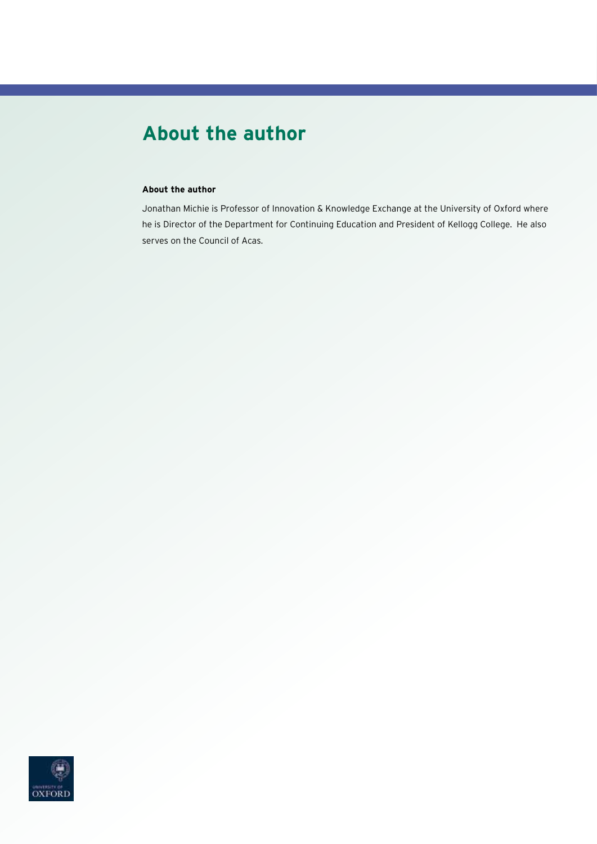# **About the author**

#### **About the author**

Jonathan Michie is Professor of Innovation & Knowledge Exchange at the University of Oxford where he is Director of the Department for Continuing Education and President of Kellogg College. He also serves on the Council of Acas.

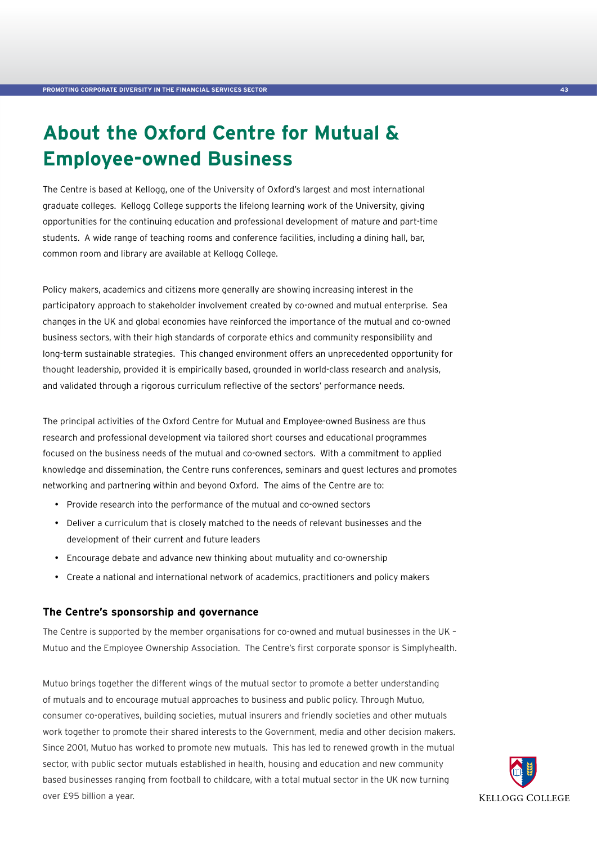# **About the Oxford Centre for Mutual & Employee-owned Business**

The Centre is based at Kellogg, one of the University of Oxford's largest and most international graduate colleges. Kellogg College supports the lifelong learning work of the University, giving opportunities for the continuing education and professional development of mature and part-time students. A wide range of teaching rooms and conference facilities, including a dining hall, bar, common room and library are available at Kellogg College.

Policy makers, academics and citizens more generally are showing increasing interest in the participatory approach to stakeholder involvement created by co-owned and mutual enterprise. Sea changes in the UK and global economies have reinforced the importance of the mutual and co-owned business sectors, with their high standards of corporate ethics and community responsibility and long-term sustainable strategies. This changed environment offers an unprecedented opportunity for thought leadership, provided it is empirically based, grounded in world-class research and analysis, and validated through a rigorous curriculum reflective of the sectors' performance needs.

The principal activities of the Oxford Centre for Mutual and Employee-owned Business are thus research and professional development via tailored short courses and educational programmes focused on the business needs of the mutual and co-owned sectors. With a commitment to applied knowledge and dissemination, the Centre runs conferences, seminars and guest lectures and promotes networking and partnering within and beyond Oxford. The aims of the Centre are to:

- Provide research into the performance of the mutual and co-owned sectors
- • Deliver a curriculum that is closely matched to the needs of relevant businesses and the development of their current and future leaders
- • Encourage debate and advance new thinking about mutuality and co-ownership
- • Create a national and international network of academics, practitioners and policy makers

#### **The Centre's sponsorship and governance**

The Centre is supported by the member organisations for co-owned and mutual businesses in the UK – Mutuo and the Employee Ownership Association. The Centre's first corporate sponsor is Simplyhealth.

Mutuo brings together the different wings of the mutual sector to promote a better understanding of mutuals and to encourage mutual approaches to business and public policy. Through Mutuo, consumer co-operatives, building societies, mutual insurers and friendly societies and other mutuals work together to promote their shared interests to the Government, media and other decision makers. Since 2001, Mutuo has worked to promote new mutuals. This has led to renewed growth in the mutual sector, with public sector mutuals established in health, housing and education and new community based businesses ranging from football to childcare, with a total mutual sector in the UK now turning over £95 billion a year.

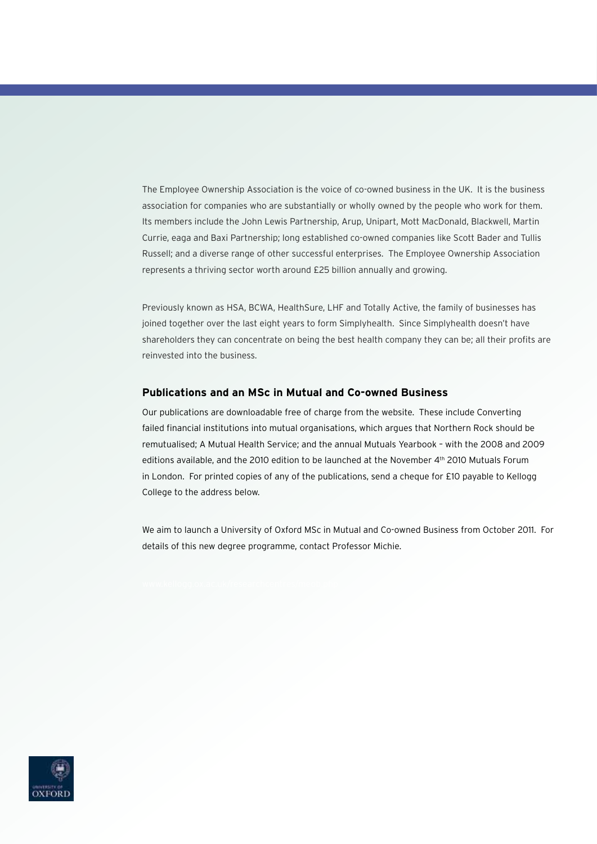The Employee Ownership Association is the voice of co-owned business in the UK. It is the business association for companies who are substantially or wholly owned by the people who work for them. Its members include the John Lewis Partnership, Arup, Unipart, Mott MacDonald, Blackwell, Martin Currie, eaga and Baxi Partnership; long established co-owned companies like Scott Bader and Tullis Russell; and a diverse range of other successful enterprises. The Employee Ownership Association represents a thriving sector worth around £25 billion annually and growing.

Previously known as HSA, BCWA, HealthSure, LHF and Totally Active, the family of businesses has joined together over the last eight years to form Simplyhealth. Since Simplyhealth doesn't have shareholders they can concentrate on being the best health company they can be; all their profits are reinvested into the business.

#### **Publications and an MSc in Mutual and Co-owned Business**

Our publications are downloadable free of charge from the website. These include Converting failed financial institutions into mutual organisations, which argues that Northern Rock should be remutualised; A Mutual Health Service; and the annual Mutuals Yearbook – with the 2008 and 2009 editions available, and the 2010 edition to be launched at the November 4th 2010 Mutuals Forum in London. For printed copies of any of the publications, send a cheque for £10 payable to Kellogg College to the address below.

We aim to launch a University of Oxford MSc in Mutual and Co-owned Business from October 2011. For details of this new degree programme, contact Professor Michie.

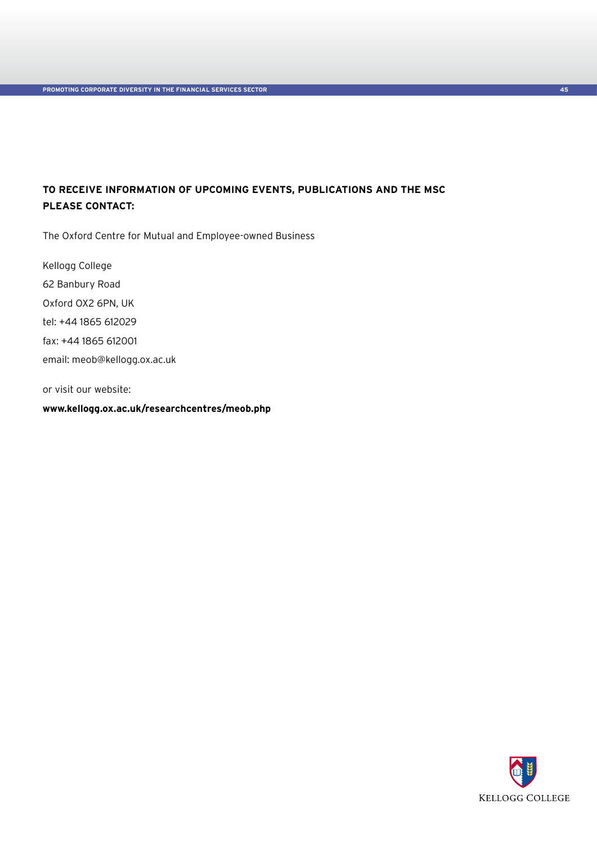### **To receive information of upcoming events, publications and the MSc please contact:**

The Oxford Centre for Mutual and Employee-owned Business

Kellogg College 62 Banbury Road Oxford OX2 6PN, UK tel: +44 1865 612029 fax: +44 1865 612001 email: meob@kellogg.ox.ac.uk

or visit our website:

**www.kellogg.ox.ac.uk/researchcentres/meob.php**